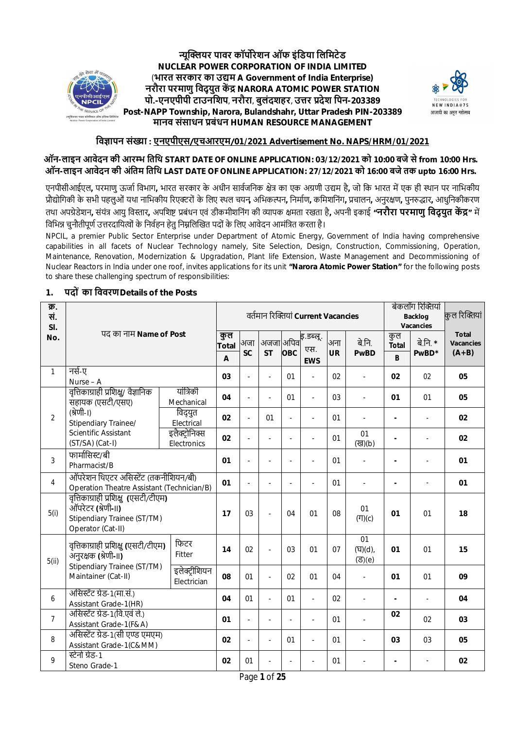

**ɊूİƑयर पावर कॉपŖरेशन ऑफ इंिडया िलिमटेड NUCLEAR POWER CORPORATION OF INDIA LIMITED** (**भारत सरकार का उȨम A Government of India Enterprise) नरौरा परमाणु िवद् युत कŐ ū NARORA ATOMIC POWER STATION पो.-एनएपीपी टाउनिशप**, **नरौरा**, **बुलंदशहर**, **उȅर Ůदेश िपन-203389 Post-NAPP Township, Narora, Bulandshahr, Uttar Pradesh PIN-203389 मानव संसाधन Ůबंधन HUMAN RESOURCE MANAGEMENT**



## **िवǒापन संƥा : एनएपीएस/एचआरएम/01/2021 Advertisement No. NAPS/HRM/01/2021**

## **ऑन-लाइन आवेदन की आरʁ ितिथ START DATE OF ONLINE APPLICATION: 03/12/2021 को 10:00 बजे सेfrom 10:00 Hrs. ऑन-लाइन आवेदन की अंितम ितिथ LAST DATE OF ONLINE APPLICATION: 27/12/2021 को 16:00 बजेतक upto 16:00 Hrs.**

एनपीसीआईएल, परमाणु ऊर्जा विभाग, भारत सरकार के अधीन सार्वजनिक क्षेत्र का एक अग्रणी उद्यम है, जो कि भारत में एक ही स्थान पर नाभिकीय ŮौȨोिगकी के सभी पहलुओं यथा नािभकीय įरएƃरों के िलए ̾थल चयन**,** अिभकʙन**,** िनमाŊण**,** किमशिनंग**,** Ůचालन**,** अनुरƗण**,** पुनŜȠार**,** आधुिनकीकरण तथा अपग्रेडेशन, संयंत्र आयु विस्तार, अपशिष्ट प्रबंधन एवं डीकमीशनिंग की व्यापक क्षमता रखता है, अपनी इकाई **"नरौरा परमाणु विदुयुत केंद्र**" में विभिन्न चुनौतीपूर्ण उत्तरदायित्वों के निर्वहन हेतु निम्नलिखित पदों के लिए आवेदन आमंत्रित करता है।

NPCIL, a premier Public Sector Enterprise under Department of Atomic Energy, Government of India having comprehensive capabilities in all facets of Nuclear Technology namely, Site Selection, Design, Construction, Commissioning, Operation, Maintenance, Renovation, Modernization & Upgradation, Plant life Extension, Waste Management and Decommissioning of Nuclear Reactors in India under one roof, invites applications for its unit **"Narora Atomic Power Station"** for the following posts to share these challenging spectrum of responsibilities:

| क्र.<br>सं.<br>SI. |                                                                                                                   |                                       |                  | वर्तमान रिक्तियां Current Vacancies |                          |                                                 |                          |                       | बेकलॉंग रिक्तियां<br><b>Backlog</b><br>Vacancies |                          | कुल रिक्तियां                               |    |
|--------------------|-------------------------------------------------------------------------------------------------------------------|---------------------------------------|------------------|-------------------------------------|--------------------------|-------------------------------------------------|--------------------------|-----------------------|--------------------------------------------------|--------------------------|---------------------------------------------|----|
| No.                | पद का नाम Name of Post                                                                                            | कुल<br><b>Total</b><br>$\overline{A}$ | अजा<br><b>SC</b> | <b>ST</b>                           | OBC                      | अजजाaअपिव <b>ह</b> .डब्लू.<br>एस.<br><b>EWS</b> | अना<br><b>UR</b>         | बे.नि.<br><b>PwBD</b> | कुल<br><b>Total</b><br>B                         | बे.नि. *<br>PwBD*        | <b>Total</b><br><b>Vacancies</b><br>$(A+B)$ |    |
| $\mathbf{1}$       | नर्स-ए<br>Nurse - A                                                                                               |                                       |                  |                                     | $\overline{\phantom{a}}$ | 01                                              |                          | 02                    | $\overline{\phantom{a}}$                         | 02                       | 02                                          | 05 |
|                    | वृत्तिकाग्राही प्रशिक्षु/ वैज्ञानिक<br>सहायक (एसटी/एसए)                                                           | यांत्रिकी<br>Mechanical               | 04               | $\overline{\phantom{a}}$            | $\overline{a}$           | 01                                              | $\overline{\phantom{a}}$ | 03                    | $\overline{\phantom{a}}$                         | 01                       | 01                                          | 05 |
| $\overline{2}$     | (श्रेणी-।)<br>Stipendiary Trainee/                                                                                | विद्युत<br>Electrical                 | 02               | $\mathbf{r}$                        | 01                       | ä,                                              | $\sim$                   | 01                    |                                                  | $\overline{\phantom{0}}$ |                                             | 02 |
|                    | Scientific Assistant<br>(ST/SA) (Cat-I)                                                                           | इलैक्ट्रोनिक्स<br>Electronics         | 02               |                                     | $\overline{a}$           | ä,                                              | ÷,                       | 01                    | 01<br>(ख)(b)                                     |                          |                                             | 02 |
| 3                  | फार्मासिस्ट/बी<br>Pharmacist/B                                                                                    |                                       | 01               |                                     |                          |                                                 | ÷.                       | 01                    |                                                  |                          |                                             | 01 |
| $\overline{4}$     | ऑपरेशन थिएटर असिस्टेंट (तकनीशियन/बी)<br>Operation Theatre Assistant (Technician/B)                                |                                       | 01               | ÷.                                  | ÷,                       | ÷.                                              | $\overline{a}$           | 01                    | $\overline{\phantom{a}}$                         | $\overline{\phantom{0}}$ | ÷,                                          | 01 |
| 5(i)               | वृत्तिकाग्राही प्रशिक्षु (एसटी/टीएम)<br>ऑपरेटर (श्रेणी-।।)<br>Stipendiary Trainee (ST/TM)<br>Operator (Cat-II)    |                                       | 17               | 03                                  | $\overline{a}$           | 04                                              | 01                       | 08                    | 01<br>(T)(c)                                     | 01                       | 01                                          | 18 |
| 5(ii)              | वृत्तिकाग्राही प्रशिक्षु (एसटी/टीएम)<br>अनुरक्षक (श्रेणी-॥)<br>Stipendiary Trainee (ST/TM)<br>Maintainer (Cat-II) | फिटर<br>Fitter                        | 14               | 02                                  | $\overline{a}$           | 03                                              | 01                       | 07                    | 01<br>(घ)(d),<br>$(3)$ (e)                       | 01                       | 01                                          | 15 |
|                    |                                                                                                                   | इलेक्ट्रीशियन<br>Electrician          | 08               | 01                                  | $\frac{1}{2}$            | 02                                              | 01                       | 04                    | $\blacksquare$                                   | 01                       | 01                                          | 09 |
| 6                  | असिस्टेंट ग्रेड-1(मा.सं.)<br>Assistant Grade-1(HR)                                                                |                                       | 04               | 01                                  | $\overline{a}$           | 01                                              | ÷,                       | 02                    | ÷,                                               | $\overline{a}$           |                                             | 04 |
| $7\overline{ }$    | असिस्टेंट ग्रेड-1(वि.एवं ले.)<br>Assistant Grade-1(F&A)                                                           |                                       | 01               | $\sim$                              | ÷.                       |                                                 | ÷.                       | 01                    |                                                  | 02                       | 02                                          | 03 |
| 8                  | असिस्टेंट ग्रेड-1(सी एण्ड एमएम)<br>Assistant Grade-1(C&MM)                                                        |                                       | 02               | $\blacksquare$                      | $\overline{\phantom{a}}$ | 01                                              | $\sim$                   | 01                    | $\overline{\phantom{a}}$                         | 03                       | 03                                          | 05 |
| 9                  | स्टेनो ग्रेड-1<br>Steno Grade-1                                                                                   |                                       | 02               | 01                                  |                          |                                                 |                          | 01                    |                                                  |                          |                                             | 02 |

#### **1. पदों का िववरण Details of the Posts**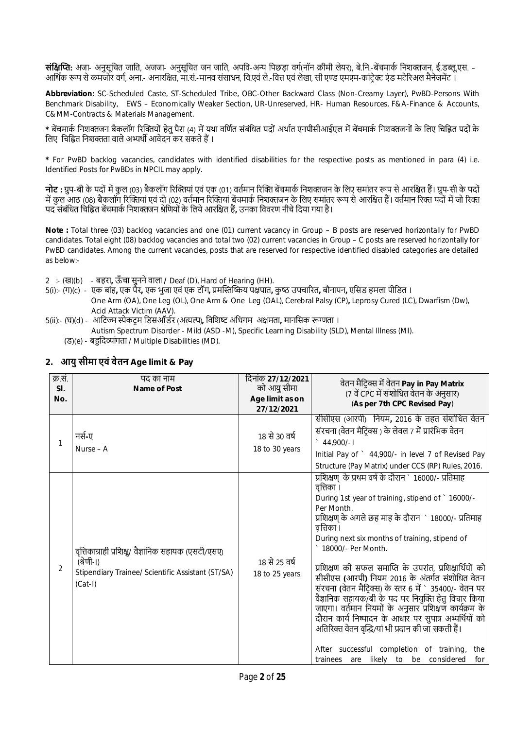**संक्षिप्ति:** अजा- अनुसूचित जाति, अजजा- अनुसूचित जन जाति, अपवि-अन्य पिछड़ा वर्ग(नॉन क्रीमी लेयर), बे.नि.-बेंचमार्क निशक्तजन, ई.डब्लू.एस. – आर्थिक रूप से कमजोर वर्ग, अना.- अनारक्षित, मा.सं.-मानव संसाधन, वि.एवं ले.-वित्त एवं लेखा, सी एण्ड एमएम-कांटेक्ट एंड मटेरिअल मैनेजमेंट ।

**Abbreviation:** SC-Scheduled Caste, ST-Scheduled Tribe, OBC-Other Backward Class (Non-Creamy Layer), PwBD-Persons With Benchmark Disability, EWS – Economically Weaker Section, UR-Unreserved, HR- Human Resources, F&A-Finance & Accounts, C&MM-Contracts & Materials Management.

\* बेंचमार्क निशक्तजन बैकलॉग रिक्तियों हेतु पैरा (4) में यथा वर्णित संबंधित पदों अर्थात एनपीसीआईएल में बेंचमार्क निशक्तजनों के लिए चिह्नित पदों के लिए चिह्नित निशक्तता वाले अभ्यर्थी आवेदन कर सकते हैं।

**\*** For PwBD backlog vacancies, candidates with identified disabilities for the respective posts as mentioned in para (4) i.e. Identified Posts for PwBDs in NPCIL may apply.

**नोट** : ग्रप-बी के पदों में कल (03) बैकलॉग रिक्तियां एवं एक (01) वर्तमान रिक्ति बेंचमार्क निशक्तजन के लिए समांतर रूप से आरक्षित हैं। ग्रप-सी के पदों में कुल आठ (08) बैकलॉग रिक्तियां एवं दो (02) वर्तमान रिक्तियां बेंचमार्क निशक्तजन के लिए समांतर रूप से आरक्षित हैं। वर्तमान रिक्त पदों में जो रिक्त पद संबंधित चिह्नित बेंचमार्क निशक्तजन श्रेणियों के लिये आरक्षित हैं, उनका विवरण नीचे दिया गया है।

**Note :** Total three (03) backlog vacancies and one (01) current vacancy in Group – B posts are reserved horizontally for PwBD candidates. Total eight (08) backlog vacancies and total two (02) current vacancies in Group – C posts are reserved horizontally for PwBD candidates. Among the current vacancies, posts that are reserved for respective identified disabled categories are detailed as below:-

- 2 :- (ख)(b) बहरा**,** ऊँ चा सुनने वाला **/** Deaf (D), Hard of Hearing (HH).
- 5(i):- (ग)(c) एक बांह**,** एक पैर**,** एक भुजा एवं एक टॉंग**,** Ůमİˑİʺय पƗपात**,** कु ̽ ठ उपचाįरत**,** बौनापन**,** एिसड हमला पीिडत । One Arm (OA), One Leg (OL), One Arm & One Leg (OAL), Cerebral Palsy (CP)**,** Leprosy Cured (LC), Dwarfism (Dw), Acid Attack Victim (AAV).
- 5(ii):- (घ)(d) आटिज्म स्पेकटम डिसऑर्डर (अत्यल्प), विशिष्ट अधिगम अक्षमता, मानसिक रूग्णता ।
	- Autism Spectrum Disorder Mild (ASD -M), Specific Learning Disability (SLD), Mental Illness (MI).
	- (ड)(e) बहुदिव्यांगता / Multiple Disabilities (MD).

| क्र.सं.<br>SI.<br>No.<br>1 | पद का नाम<br>Name of Post<br>नर्स-ए<br>Nurse - A                                                                                     | दिनांक 27/12/2021<br>को आयु सीमा<br>Age limit as on<br>27/12/2021<br>18 से 30 वर्ष<br>18 to 30 years | वेतन मैट्रिक्स में वेतन Pay in Pay Matrix<br>(7 वें CPC में संशोधित वेतन के अनुसार)<br>(As per 7th CPC Revised Pay)<br>सीसीएस (आरपी) नियम, 2016 के तहत संशोधित वेतन<br>संरचना (वेतन मैटिक्स ) के लेवल 7 में प्रारंभिक वेतन<br>$\degree$ 44,900/-1<br>Initial Pay of ` 44,900/- in level 7 of Revised Pay                                                                                                                                                                                                                                                                                                                                                                                                                                                                                                                                             |
|----------------------------|--------------------------------------------------------------------------------------------------------------------------------------|------------------------------------------------------------------------------------------------------|------------------------------------------------------------------------------------------------------------------------------------------------------------------------------------------------------------------------------------------------------------------------------------------------------------------------------------------------------------------------------------------------------------------------------------------------------------------------------------------------------------------------------------------------------------------------------------------------------------------------------------------------------------------------------------------------------------------------------------------------------------------------------------------------------------------------------------------------------|
| 2                          | वृत्तिकाग्राही प्रशिक्षु/ वैज्ञानिक सहायक (एसटी/एसए)<br>(श्रेणी-।)<br>Stipendiary Trainee/ Scientific Assistant (ST/SA)<br>$(Cat-I)$ | 18 से 25 वर्ष<br>18 to 25 years                                                                      | Structure (Pay Matrix) under CCS (RP) Rules, 2016.<br>प्रशिक्षण् के प्रथम वर्ष के दौरान ` 16000/- प्रतिमाह<br>वृत्तिका ।<br>During 1st year of training, stipend of ` 16000/-<br>Per Month.<br>प्रशिक्षण् के अगले छह माह के दौरान ` 18000/- प्रतिमाह<br>वत्तिका ।<br>During next six months of training, stipend of<br>18000/- Per Month.<br>प्रशिक्षण की सफल समाप्ति के उपरांत, प्रशिक्षार्थियों को<br>सीसीएस (आरपी) नियम 2016 के अंतर्गत संशोधित वेतन<br>संरचना (वेतन मैटिक्स) के स्तर 6 में ` 35400/- वेतन पर<br>वैज्ञानिक सहायक/बी के पद पर नियुक्ति हेतु विचार किया<br>जाएगा। वर्तमान नियमों के अनुसार प्रशिक्षण कार्यक्रम के<br>दौरान कार्य निष्पादन के आधार पर सुपात्र अभ्यर्थियों को<br>अतिरिक्त वेतन वृद्धि/यां भी प्रदान की जा सकती हैं।<br>After successful completion of training,<br>the<br>trainees are likely to be considered<br>for |

## **2. आयु सीमा एवं वेतन Age limit & Pay**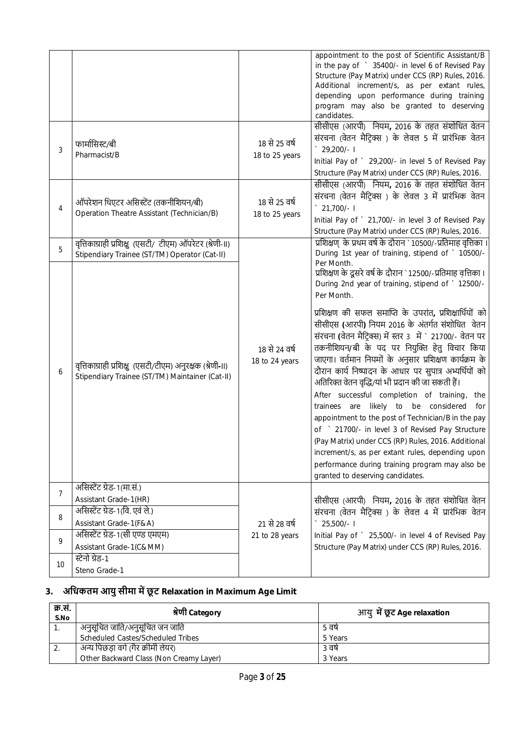|    |                                                                                                             |                                 | appointment to the post of Scientific Assistant/B<br>in the pay of > 35400/- in level 6 of Revised Pay<br>Structure (Pay Matrix) under CCS (RP) Rules, 2016.<br>Additional increment/s, as per extant rules,<br>depending upon performance during training<br>program may also be granted to deserving<br>candidates.                                                                                                                                                                                                                                                                                                                                                                                                                                                                                                                                                                                                                                       |
|----|-------------------------------------------------------------------------------------------------------------|---------------------------------|-------------------------------------------------------------------------------------------------------------------------------------------------------------------------------------------------------------------------------------------------------------------------------------------------------------------------------------------------------------------------------------------------------------------------------------------------------------------------------------------------------------------------------------------------------------------------------------------------------------------------------------------------------------------------------------------------------------------------------------------------------------------------------------------------------------------------------------------------------------------------------------------------------------------------------------------------------------|
| 3  | फार्मासिस्ट/बी<br>Pharmacist/B                                                                              | 18 से 25 वर्ष<br>18 to 25 years | सीसीएस (आरपी) नियम, 2016 के तहत संशोधित वेतन<br>संरचना (वेतन मैटिक्स) के लेवल 5 में प्रारंभिक वेतन<br>29,200/-1<br>Initial Pay of ` 29,200/- in level 5 of Revised Pay<br>Structure (Pay Matrix) under CCS (RP) Rules, 2016.                                                                                                                                                                                                                                                                                                                                                                                                                                                                                                                                                                                                                                                                                                                                |
| 4  | ऑपरेशन थिएटर असिस्टेंट (तकनीशियन/बी)<br>Operation Theatre Assistant (Technician/B)                          | 18 से 25 वर्ष<br>18 to 25 years | सीसीएस (आरपी) नियम, 2016 के तहत संशोधित वेतन<br>संरचना (वेतन मैट्रिक्स ) के लेवल 3 में प्रारंभिक वेतन<br>$\degree$ 21,700/- 1<br>Initial Pay of ` 21,700/- in level 3 of Revised Pay<br>Structure (Pay Matrix) under CCS (RP) Rules, 2016.                                                                                                                                                                                                                                                                                                                                                                                                                                                                                                                                                                                                                                                                                                                  |
| 5  | वृत्तिकाग्राही प्रशिक्षु (एसटी/ टीएम) ऑपरेटर (श्रेणी-॥)<br>Stipendiary Trainee (ST/TM) Operator (Cat-II)    |                                 | प्रशिक्षण् के प्रथम वर्ष के दौरान ` 10500/-प्रतिमाह वृत्तिका ।<br>During 1st year of training, stipend of ` 10500/-                                                                                                                                                                                                                                                                                                                                                                                                                                                                                                                                                                                                                                                                                                                                                                                                                                         |
| 6  | वृत्तिकाग्राही प्रशिक्षु (एसटी/टीएम) अनुरक्षक (श्रेणी-॥)<br>Stipendiary Trainee (ST/TM) Maintainer (Cat-II) | 18 से 24 वर्ष<br>18 to 24 years | Per Month.<br>प्रशिक्षण के दूसरे वर्ष के दौरान `12500/-प्रतिमाह वृत्तिका ।<br>During 2nd year of training, stipend of ` 12500/-<br>Per Month.<br>प्रशिक्षण की सफल समाप्ति के उपरांत, प्रशिक्षार्थियों को<br>सीसीएस (आरपी) नियम 2016 के अंतर्गत संशोधित वेतन<br>संरचना (वेतन मैटिक्स) में स्तर 3 में ` 21700/- वेतन पर<br>तकनीशियन/बी के पद पर नियुक्ति हेतु विचार किया<br>जाएगा। वर्तमान नियमों के अनुसार प्रशिक्षण कार्यक्रम के<br>दौरान कार्य निष्पादन के आधार पर सुपात्र अभ्यर्थियों को<br>अतिरिक्त वेतन वृद्धि/यां भी प्रदान की जा सकती हैं।<br>After successful completion of training, the<br>trainees are likely to be considered<br>for<br>appointment to the post of Technician/B in the pay<br>of ` 21700/- in level 3 of Revised Pay Structure<br>(Pay Matrix) under CCS (RP) Rules, 2016. Additional<br>increment/s, as per extant rules, depending upon<br>performance during training program may also be<br>granted to deserving candidates. |
| 7  | असिस्टेंट ग्रेड-1(मा.सं.)<br>Assistant Grade-1(HR)                                                          |                                 | सीसीएस (आरपी) नियम, 2016 के तहत संशोधित वेतन                                                                                                                                                                                                                                                                                                                                                                                                                                                                                                                                                                                                                                                                                                                                                                                                                                                                                                                |
| 8  | असिस्टेंट ग्रेड-1(वि. एवं ले.)<br>Assistant Grade-1(F&A)                                                    | 21 से 28 वर्ष                   | संरचना (वेतन मैट्रिक्स) के लेवल 4 में प्रारंभिक वेतन<br>25,500/- I                                                                                                                                                                                                                                                                                                                                                                                                                                                                                                                                                                                                                                                                                                                                                                                                                                                                                          |
| 9  | असिस्टेंट ग्रेड-1(सी एण्ड एमएम)<br>Assistant Grade-1(C&MM)                                                  | 21 to 28 years                  | Initial Pay of ` 25,500/- in level 4 of Revised Pay<br>Structure (Pay Matrix) under CCS (RP) Rules, 2016.                                                                                                                                                                                                                                                                                                                                                                                                                                                                                                                                                                                                                                                                                                                                                                                                                                                   |
| 10 | स्टेनो ग्रेड-1<br>Steno Grade-1                                                                             |                                 |                                                                                                                                                                                                                                                                                                                                                                                                                                                                                                                                                                                                                                                                                                                                                                                                                                                                                                                                                             |

# 3. अधिकतम आयु सीमा में छूट Relaxation in Maximum Age Limit

| क्र.सं.<br>S.No | श्रेणी Category                         | आयु <b>में छूट Ag</b> e relaxation |  |  |
|-----------------|-----------------------------------------|------------------------------------|--|--|
|                 | अनुसूचित जाति/अनुसूचित जन जाति          | ५ वर्ष                             |  |  |
|                 | Scheduled Castes/Scheduled Tribes       | 5 Years                            |  |  |
| <u>.</u>        | अन्य पिछड़ा वर्ग (गैर क्रीमी लेयर)      | ३ वर्षे                            |  |  |
|                 | Other Backward Class (Non Creamy Layer) | 3 Years                            |  |  |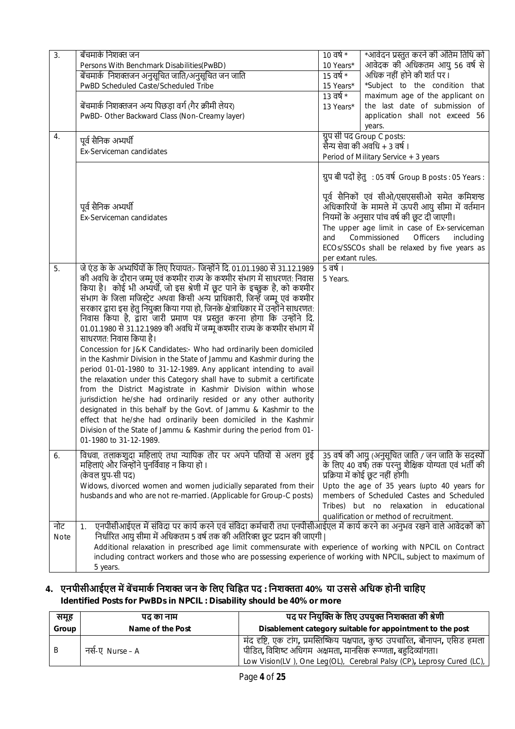| 3.<br>4.           | बेंचमार्क निशक्त जन<br>Persons With Benchmark Disabilities(PwBD)<br>बेंचमार्क  निशक्तजन अनुसूचित जाति/अनुसूचित जन जाति<br>PwBD Scheduled Caste/Scheduled Tribe<br>बेंचमार्क निशक्तजन अन्य पिछड़ा वर्ग (गैर क्रीमी लेयर)<br>PwBD- Other Backward Class (Non-Creamy layer)<br>पूर्व सैनिक अभ्यर्थी<br>Ex-Serviceman candidates                                                                                                                                                                                                                                                                                                                                                                                                                                                                                                                                                                                                                                                                                                                                                                                                                                                                                                                                                     | $10 \overline{d}$ र्ष *<br>*आवेदन प्रस्तुत करने की अंतिम तिथि को<br>आवेदक की अधिकतम आयु 56 वर्ष से<br>10 Years*<br>$15$ वर्ष *<br>अधिक नहीं होने की शर्त पर ।<br>*Subject to the condition that<br>15 Years*<br>$13 \overline{d}$ र्ष *<br>maximum age of the applicant on<br>the last date of submission of<br>13 Years*<br>application shall not exceed 56<br>years.<br>ग्रुप सी पद Group C posts:<br>सैन्य सेवा की अवधि + 3 वर्ष ।<br>Period of Military Service + 3 years |  |  |  |
|--------------------|----------------------------------------------------------------------------------------------------------------------------------------------------------------------------------------------------------------------------------------------------------------------------------------------------------------------------------------------------------------------------------------------------------------------------------------------------------------------------------------------------------------------------------------------------------------------------------------------------------------------------------------------------------------------------------------------------------------------------------------------------------------------------------------------------------------------------------------------------------------------------------------------------------------------------------------------------------------------------------------------------------------------------------------------------------------------------------------------------------------------------------------------------------------------------------------------------------------------------------------------------------------------------------|-------------------------------------------------------------------------------------------------------------------------------------------------------------------------------------------------------------------------------------------------------------------------------------------------------------------------------------------------------------------------------------------------------------------------------------------------------------------------------|--|--|--|
|                    | पूर्व सैनिक अभ्यर्थी<br>Ex-Serviceman candidates                                                                                                                                                                                                                                                                                                                                                                                                                                                                                                                                                                                                                                                                                                                                                                                                                                                                                                                                                                                                                                                                                                                                                                                                                                 | ग्रुप बी पदों हेतु: 05 वर्ष Group B posts: 05 Years:<br>पूर्व सैनिकों एवं सीओ/एसएससीओ समेत कमिशन्ड<br>अधिकारियों के मामले में ऊपरी आयु सीमा में वर्तमान<br>नियमों के अनुसार पांच वर्ष की छूट दी जाएगी।<br>The upper age limit in case of Ex-serviceman<br>Commissioned<br>Officers<br>and<br>including<br>ECOs/SSCOs shall be relaxed by five years as<br>per extant rules.                                                                                                   |  |  |  |
| 5.                 | जे एंड के के अभ्यर्थियों के लिए रियायत:- जिन्होंने दि. 01.01.1980 से 31.12.1989<br>की अवधि के दौरान जम्मू एवं कश्मीर राज्य के कश्मीर संभाग में साधरणत: निवास<br>किया है। कोई भी अभ्यर्थी, जो इस श्रेणी में छूट पाने के इच्छुक है, को कश्मीर<br>संभाग के जिला मजिस्ट्रेट अथवा किसी अन्य प्राधिकारी, जिन्हें जम्मू एवं कश्मीर<br>सरकार द्वारा इस हेतु नियुक्त किया गया हो, जिनके क्षेत्राधिकार में उन्होंने साधरणत:<br>निवास किया है, द्वारा जारी प्रमाण पत्र प्रस्तुत करना होगा कि उन्होंने दि.<br>01.01.1980 से 31.12.1989 की अवधि में जम्मू कश्मीर राज्य के कश्मीर संभाग में<br>साधरणत: निवास किया है।<br>Concession for J&K Candidates:- Who had ordinarily been domiciled<br>in the Kashmir Division in the State of Jammu and Kashmir during the<br>period 01-01-1980 to 31-12-1989. Any applicant intending to avail<br>the relaxation under this Category shall have to submit a certificate<br>from the District Magistrate in Kashmir Division within whose<br>jurisdiction he/she had ordinarily resided or any other authority<br>designated in this behalf by the Govt. of Jammu & Kashmir to the<br>effect that he/she had ordinarily been domiciled in the Kashmir<br>Division of the State of Jammu & Kashmir during the period from 01-<br>01-1980 to 31-12-1989. | 5 वर्ष ।<br>5 Years.                                                                                                                                                                                                                                                                                                                                                                                                                                                          |  |  |  |
| 6.                 | विधवा, तलाकशुदा महिलाएं तथा न्यायिक तौर पर अपने पतियों से अलग हुई<br>महिलाएं और जिन्होंने पुनर्विवाह न किया हो।<br>(केवल ग्रुप-सी पद)<br>Widows, divorced women and women judicially separated from their<br>husbands and who are not re-married. (Applicable for Group-C posts)                                                                                                                                                                                                                                                                                                                                                                                                                                                                                                                                                                                                                                                                                                                                                                                                                                                                                                                                                                                                 | 35 वर्ष की आयु (अनुसूचित जाति / जन जाति के सदस्यों<br>के लिए 40 वर्ष) तक परन्तु शैक्षिक योग्यता एवं भर्ती की<br>प्रक्रिया में कोई छूट नहीं होगी।<br>Upto the age of 35 years (upto 40 years for<br>members of Scheduled Castes and Scheduled<br>Tribes) but no relaxation in educational<br>qualification or method of recruitment.                                                                                                                                           |  |  |  |
| नोट<br><b>Note</b> | एनपीसीआईएल में संविदा पर कार्य करने एवं संविदा कर्मचारी तथा एनपीसीआईएल में कार्य करने का अनुभव रखने वाले आवेदकों को<br>1.<br>निर्धारित आयु सीमा में अधिकतम 5 वर्ष तक की अतिरिक्त छूट प्रदान की जाएगी  <br>Additional relaxation in prescribed age limit commensurate with experience of working with NPCIL on Contract<br>including contract workers and those who are possessing experience of working with NPCIL, subject to maximum of<br>5 years.                                                                                                                                                                                                                                                                                                                                                                                                                                                                                                                                                                                                                                                                                                                                                                                                                            |                                                                                                                                                                                                                                                                                                                                                                                                                                                                               |  |  |  |

## **4. एनपीसीआईएल मŐ बŐचमाकŊ िनशƅ जन के िलए िचि˥त पद : िनशƅता 40% या उससे अिधक होनी चािहए Identified Posts for PwBDs in NPCIL : Disability should be 40% or more**

| समूह  | पढ का नाम        | पद पर नियुक्ति के लिए उपयुक्त निशक्तता की श्रेणी                                                                                                                                                                        |  |  |  |  |
|-------|------------------|-------------------------------------------------------------------------------------------------------------------------------------------------------------------------------------------------------------------------|--|--|--|--|
| Group | Name of the Post | Disablement category suitable for appointment to the post                                                                                                                                                               |  |  |  |  |
| B     | नर्स-ए Nurse – A | मंद दृष्टि, एक टांग, प्रमस्तिष्किय पक्षपात, कुष्ठ उपचारित, बौनापन, एसिड हमला  <br>पीडित, विशिष्ट अधिगम अक्षमता, मानसिक रूग्णता, बहुदिव्यांगता।<br>Low Vision(LV), One Leg(OL), Cerebral Palsy (CP), Leprosy Cured (LC), |  |  |  |  |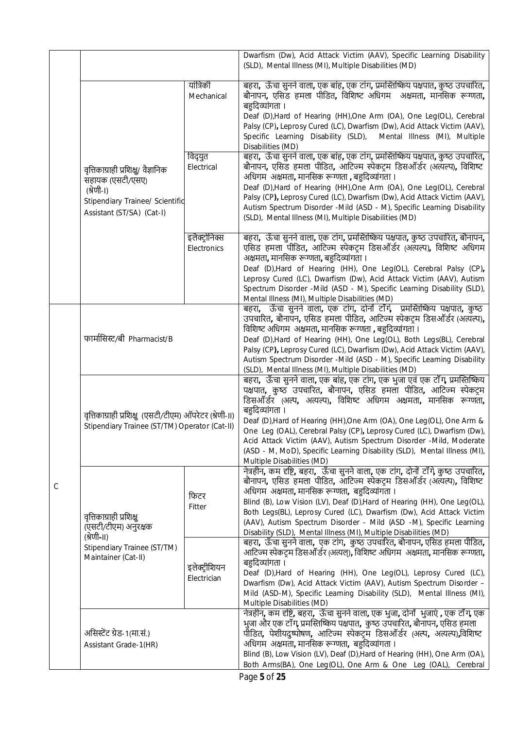|   |                                                                                                                                       |                                    | Dwarfism (Dw), Acid Attack Victim (AAV), Specific Learning Disability<br>(SLD), Mental Illness (MI), Multiple Disabilities (MD)                                                                                                                                                                                                                                                                                                                                                                                                                                            |  |  |
|---|---------------------------------------------------------------------------------------------------------------------------------------|------------------------------------|----------------------------------------------------------------------------------------------------------------------------------------------------------------------------------------------------------------------------------------------------------------------------------------------------------------------------------------------------------------------------------------------------------------------------------------------------------------------------------------------------------------------------------------------------------------------------|--|--|
|   |                                                                                                                                       | यांत्रिकी<br>Mechanical<br>विद्युत | बहरा,  ऊँचा सुनने वाला, एक बांह, एक टांग, प्रमस्तिष्किय पक्षपात, कुष्ठ उपचारित,<br>बौनापन, एसिड हमला पीडित, विशिष्ट अधिगम  अक्षमता, मानसिक रूग्णता,<br>बहुदिव्यांगता ।<br>Deaf (D), Hard of Hearing (HH), One Arm (OA), One Leg(OL), Cerebral<br>Palsy (CP), Leprosy Cured (LC), Dwarfism (Dw), Acid Attack Victim (AAV),<br>Specific Learning Disability (SLD),<br>Mental Illness (MI), Multiple<br>Disabilities (MD)<br>बहरा,  ऊँचा सुनने वाला, एक बांह, एक टांग, प्रमस्तिष्किय पक्षपात, कुष्ठ उपचारित,                                                                  |  |  |
|   | वृत्तिकाग्राही प्रशिक्षु/ वैज्ञानिक<br>सहायक (एसटी/एसए)<br>(श्रेणी-।)<br>Stipendiary Trainee/ Scientific<br>Assistant (ST/SA) (Cat-I) | Electrical                         | बौनापन, एसिड हमला पीडित, आटिज्म स्पेकट्म डिसऑर्डर (अत्यत्प), विशिष्ट<br>अधिगम अक्षमता, मानसिक रूग्णता , बहुदिव्यांगता ।<br>Deaf (D), Hard of Hearing (HH), One Arm (OA), One Leg(OL), Cerebral<br>Palsy (CP), Leprosy Cured (LC), Dwarfism (Dw), Acid Attack Victim (AAV),<br>Autism Spectrum Disorder -Mild (ASD - M), Specific Learning Disability<br>(SLD), Mental Illness (MI), Multiple Disabilities (MD)                                                                                                                                                             |  |  |
|   |                                                                                                                                       | इलैक्ट्रोनिक्स<br>Electronics      | बहरा,  ऊँचा सुनने वाला, एक टांग, प्रमस्तिष्किय पक्षपात, कुष्ठ उपचारित, बौनापन,<br>एसिड हमला पीडित, आटिज्म स्पेकट्म डिसऑर्डर (अत्यल्प), विशिष्ट अधिगम<br>अक्षमता, मानसिक रूग्णता, बहुदिव्यांगता ।<br>Deaf (D), Hard of Hearing (HH), One Leg(OL), Cerebral Palsy (CP),<br>Leprosy Cured (LC), Dwarfism (Dw), Acid Attack Victim (AAV), Autism<br>Spectrum Disorder -Mild (ASD - M), Specific Learning Disability (SLD),<br>Mental Illness (MI), Multiple Disabilities (MD)                                                                                                  |  |  |
|   | फार्मासिस्ट/बी Pharmacist/B                                                                                                           |                                    | बहरा, ऊँचा सुनने वाला, एक टांग, दोनों टाॅंगे,  प्रमस्तिष्किय पक्षपात, कुष्ठ<br>उपचारित, बौनापन, एसिड हमला पीडित, आटिज्म स्पेकट्रम डिसऑर्डर (अत्यल्प),<br>विशिष्ट अधिगम  अक्षमता, मानसिक रूग्णता , बहुदिव्यांगता ।<br>Deaf (D), Hard of Hearing (HH), One Leg(OL), Both Legs(BL), Cerebral<br>Palsy (CP), Leprosy Cured (LC), Dwarfism (Dw), Acid Attack Victim (AAV),<br>Autism Spectrum Disorder -Mild (ASD - M), Specific Learning Disability<br>(SLD), Mental Illness (MI), Multiple Disabilities (MD)                                                                  |  |  |
|   | वृत्तिकाग्राही प्रशिक्षु (एसटी/टीएम) ऑपरेटर (श्रेणी-॥)<br>Stipendiary Trainee (ST/TM) Operator (Cat-II)                               |                                    | बहरा,  ऊँचा सुनने वाला, एक बांह, एक टांग, एक भुजा एवं एक टाॅंग, प्रमस्तिष्किय<br>पक्षपात, कुष्ठ उपचारित, बौनापन, एसिड हमला पीडित, आटिज्म स्पेकट्म<br>डिसऑर्डर (अल्प, अत्यल्प), विशिष्ट अधिगम अक्षमता, मानसिक रूग्णता,<br>बहुदिव्यांगता ।<br>Deaf (D), Hard of Hearing (HH), One Arm (OA), One Leg(OL), One Arm &<br>One Leg (OAL), Cerebral Palsy (CP), Leprosy Cured (LC), Dwarfism (Dw),<br>Acid Attack Victim (AAV), Autism Spectrum Disorder -Mild, Moderate<br>(ASD - M, MoD), Specific Learning Disability (SLD), Mental Illness (MI),<br>Multiple Disabilities (MD) |  |  |
| C | वृत्तिकाग्राही प्रशिक्षु<br>(एसटी/टीएम) अनुरक्षक<br>(श्रेणी-॥)                                                                        | फिटर<br>Fitter                     | नेत्रहीन, कम दृष्टि, बहरा, ऊँचा सुनने वाला, एक टांग, दोनों टाॅंगे, कुष्ठ उपचारित,<br>बौनापन, एसिड हमला पीडित, आंटिज्म स्पेकट्म डिसऑर्डर (अत्यत्प), विशिष्ट<br>अधिगम अक्षमता, मानसिक रूग्णता, बहुदिव्यांगता ।<br>Blind (B), Low Vision (LV), Deaf (D), Hard of Hearing (HH), One Leg(OL),<br>Both Legs(BL), Leprosy Cured (LC), Dwarfism (Dw), Acid Attack Victim<br>(AAV), Autism Spectrum Disorder - Mild (ASD -M), Specific Learning<br>Disability (SLD), Mental Illness (MI), Multiple Disabilities (MD)                                                                |  |  |
|   | Stipendiary Trainee (ST/TM)<br>Maintainer (Cat-II)<br>इलेक्ट्रीशियन<br>Electrician                                                    |                                    | बहरा,  ऊँचा सुनने वाला,  एक टांग,  कुष्ठ उपचारित, बौनापन, एसिड हमला पीडित,<br>आटिज्म स्पेकट्रम डिसऑर्डर (अत्यल्), विशिष्ट अधिगम अक्षमता, मानसिक रूग्णता,<br>बहुदिव्यांगता ।<br>Deaf (D), Hard of Hearing (HH), One Leg(OL), Leprosy Cured (LC),<br>Dwarfism (Dw), Acid Attack Victim (AAV), Autism Spectrum Disorder -<br>Mild (ASD-M), Specific Learning Disability (SLD), Mental Illness (MI),<br>Multiple Disabilities (MD)                                                                                                                                             |  |  |
|   | असिस्टेंट ग्रेड-1(मा.सं.)<br>Assistant Grade-1(HR)                                                                                    |                                    | नेत्रहीन, कम दृष्टि, बहरा, ऊँचा सुनने वाला, एक भुजा, दोनों  भुजाएं , एक टॉँग, एक<br>भुजा और एक टॉंग, प्रमस्तिष्किय पक्षपात,  कुष्ठ उपचारित, बौनापन, एसिड हमला<br>पीडित, पेशीयदुष्पोषण, आटिज्म स्पेकट्म डिसऑर्डर (अल्प, अत्यल्प),विशिष्ट<br>अधिगम अक्षमता, मानसिक रूग्णता, बहुदिव्यांगता ।<br>Blind (B), Low Vision (LV), Deaf (D), Hard of Hearing (HH), One Arm (OA),<br>Both Arms(BA), One Leg(OL), One Arm & One Leg (OAL), Cerebral                                                                                                                                    |  |  |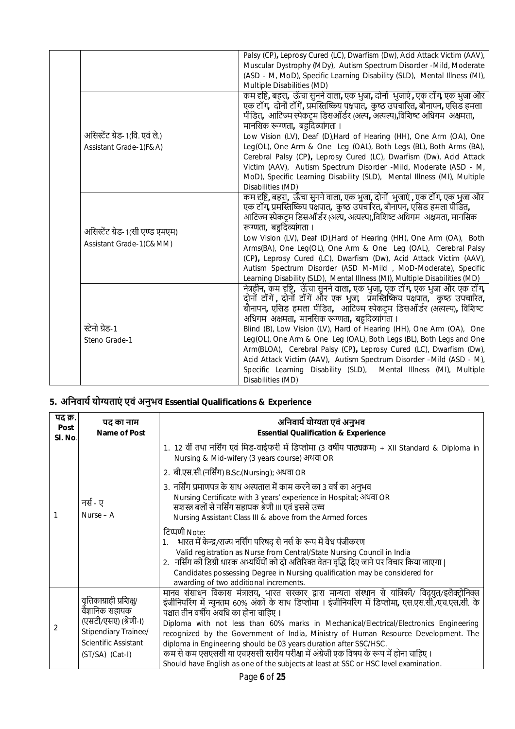|                                                            | Palsy (CP), Leprosy Cured (LC), Dwarfism (Dw), Acid Attack Victim (AAV),<br>Muscular Dystrophy (MDy), Autism Spectrum Disorder -Mild, Moderate<br>(ASD - M, MoD), Specific Learning Disability (SLD), Mental Illness (MI),<br>Multiple Disabilities (MD)                                                                                                                                                                                                                                                                                                                                                                                                                       |
|------------------------------------------------------------|--------------------------------------------------------------------------------------------------------------------------------------------------------------------------------------------------------------------------------------------------------------------------------------------------------------------------------------------------------------------------------------------------------------------------------------------------------------------------------------------------------------------------------------------------------------------------------------------------------------------------------------------------------------------------------|
| असिस्टेंट ग्रेड-1(वि. एवं ले.)<br>Assistant Grade-1(F&A)   | कम दृष्टि, बहरा, ऊँचा सुनने वाला, एक भुजा, दोनों भुजाएं , एक टाँग, एक भुजा और<br>एक टॉंग, दोनों टॉंगें, प्रमस्तिष्किय पक्षपात, कुष्ठ उपचारित, बौनापन, एसिड हमला<br>पीडित, आटिज्म स्पेकट्म डिसऑर्डर (अल्प, अत्यल्प),विशिष्ट अधिगम अक्षमता,<br>मानसिक रूग्णता, बहदिव्यांगता ।<br>Low Vision (LV), Deaf (D), Hard of Hearing (HH), One Arm (OA), One<br>Leg(OL), One Arm & One Leg (OAL), Both Legs (BL), Both Arms (BA),<br>Cerebral Palsy (CP), Leprosy Cured (LC), Dwarfism (Dw), Acid Attack<br>Victim (AAV), Autism Spectrum Disorder -Mild, Moderate (ASD - M,<br>MoD), Specific Learning Disability (SLD), Mental Illness (MI), Multiple<br>Disabilities (MD)              |
| असिस्टेंट ग्रेड-1(सी एण्ड एमएम)<br>Assistant Grade-1(C&MM) | कम दृष्टि, बहरा,  ऊँचा सुनने वाला, एक भुजा, दोनों  भुजाएं , एक टाँग, एक भुजा और<br>एक टॉंग, प्रमस्तिष्किय पक्षपात, कुष्ठ उपचारित, बौनॉपन, एसिड हमला पीडित,<br>आटिज्म स्पेकट्म डिसऑर्डर (अल्प, अत्यल्प),विशिष्ट अधिगम  अक्षमता, मानसिक<br>रूग्णता, बहदिव्यांगता ।<br>Low Vision (LV), Deaf (D), Hard of Hearing (HH), One Arm (OA), Both<br>Arms(BA), One Leg(OL), One Arm & One Leg (OAL), Cerebral Palsy<br>(CP), Leprosy Cured (LC), Dwarfism (Dw), Acid Attack Victim (AAV),<br>Autism Spectrum Disorder (ASD M-Mild, MoD-Moderate), Specific<br>Learning Disability (SLD), Mental Illness (MI), Multiple Disabilities (MD)                                                 |
| स्टेनो ग्रेड-1<br>Steno Grade-1                            | नेत्रहीन, कम दृष्टि, ऊँचा सुनने वाला, एक भुजा, एक टॉॅंग, एक भुजा और एक टॉॅंग,<br>दोनों टॉंगें , दोनों टॉंगें और एक भुजा,  प्रमस्तिष्किय पक्षपात, कुष्ठ उपचारित,<br>बौनापन, एसिड हमला पीडित, ऑटिज्म स्पेकट्म डिसऑर्डर (अत्यल्प), विशिष्ट<br>अधिगम अक्षमता, मानसिक रूग्णता, बहुदिव्यांगता ।<br>Blind (B), Low Vision (LV), Hard of Hearing (HH), One Arm (OA), One<br>Leg(OL), One Arm & One Leg (OAL), Both Legs (BL), Both Legs and One<br>Arm(BLOA), Cerebral Palsy (CP), Leprosy Cured (LC), Dwarfism (Dw),<br>Acid Attack Victim (AAV), Autism Spectrum Disorder -Mild (ASD - M),<br>Specific Learning Disability (SLD), Mental Illness (MI), Multiple<br>Disabilities (MD) |

# **5. अिनवायŊ योƶताएं एवं अनुभव Essential Qualifications & Experience**

| पद क्र.<br>Post<br>SI. No. | पद का नाम<br>Name of Post                                                                        | अनिवार्य योग्यता एवं अनुभव<br><b>Essential Qualification &amp; Experience</b>                                                                                                                                                                                                                                                                                                                |  |  |  |  |  |
|----------------------------|--------------------------------------------------------------------------------------------------|----------------------------------------------------------------------------------------------------------------------------------------------------------------------------------------------------------------------------------------------------------------------------------------------------------------------------------------------------------------------------------------------|--|--|--|--|--|
|                            |                                                                                                  | 1. 12 वीं तथा नर्सिंग एवं मिड-वाईफरी में डिप्लोमा (3 वर्षीय पाठ्यक्रम) + XII Standard & Diploma in<br>Nursing & Mid-wifery (3 years course) अथवा OR                                                                                                                                                                                                                                          |  |  |  |  |  |
|                            |                                                                                                  | 2. बी.एस.सी.(नर्सिंग) B.Sc.(Nursing); अथवा OR                                                                                                                                                                                                                                                                                                                                                |  |  |  |  |  |
|                            | नर्स - ए<br>Nurse $-$ A<br>वृत्तिकाग्राही प्रशिक्षु/<br>वैज्ञानिक सहायक<br>(एसटी/एसए) (श्रेणी-।) | 3. नर्सिंग प्रमाणपत्र के साथ अस्पताल में काम करने का 3 वर्ष का अनुभव<br>Nursing Certificate with 3 years' experience in Hospital; अथवा OR<br>सशस्त्र बलों से नर्सिंग सहायक श्रेणी III एवं इससे उच्च<br>Nursing Assistant Class III & above from the Armed forces                                                                                                                             |  |  |  |  |  |
|                            |                                                                                                  | टिप्पणी Note:<br>भारत में केन्द्र/राज्य नर्सिंग परिषद् से नर्स के रूप में वैध पंजीकरण<br>Valid registration as Nurse from Central/State Nursing Council in India<br>2. नर्सिंग की डिग्री धारक अभ्यर्थियों को दो अतिरिक्त वेतन वृद्धि दिए जाने पर विचार किया जाएगा  <br>Candidates possessing Degree in Nursing qualification may be considered for<br>awarding of two additional increments. |  |  |  |  |  |
|                            |                                                                                                  | मानव संसाधन विकास मंत्रालय, भारत सरकार द्वारा मान्यता संस्थान से यांत्रिकी/ विद्युत/इलैक्ट्रोनिक्स<br>इंजीनियरिंग में न्युनतम 60% अंकों के साथ डिप्लोमा । इंजीनियरिंग में डिप्लोमा, एस.एस.सी./एच.एस.सी. के<br>पश्चात तीन वर्षीय अवधि का होना चाहिए ।<br>Diploma with not less than 60% marks in Mechanical/Electrical/Electronics Engineering                                                |  |  |  |  |  |
| 2                          | Stipendiary Trainee/                                                                             | recognized by the Government of India, Ministry of Human Resource Development. The                                                                                                                                                                                                                                                                                                           |  |  |  |  |  |
|                            | Scientific Assistant<br>(ST/SA) (Cat-I)                                                          | diploma in Engineering should be 03 years duration after SSC/HSC.<br>कम से कम एसएससी या एचएससी स्तरीय परीक्षा में अंग्रेजी एक विषय के रूप में होना चाहिए ।                                                                                                                                                                                                                                   |  |  |  |  |  |
|                            |                                                                                                  | Should have English as one of the subjects at least at SSC or HSC level examination.                                                                                                                                                                                                                                                                                                         |  |  |  |  |  |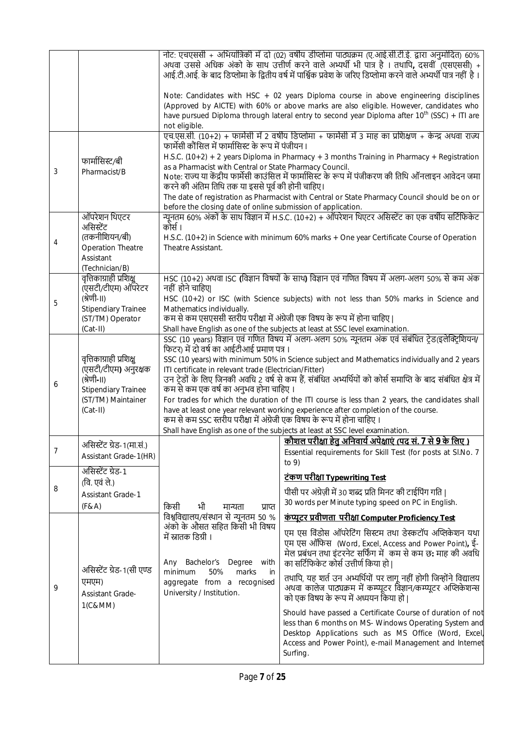|   |                                                                   |                                                                                                                                                                                                                                                                  | नोट: एचएससी + अभियांत्रिकी में दो (02) वर्षीय डीप्लोमा पाठ्यक्रम (ए.आई.सी.टी.ई. द्वारा अनुमोदित) 60%<br>अथवा उससे अधिक अंको के साथ उत्तीर्ण करने वाले अभ्यर्थी भी पात्र है । तथापि, दसवीं (एसएससी) +<br>आई.टी.आई. के बाद डिप्लोमा के द्वितीय वर्ष में पार्श्विक प्रवेश के जरिए डिप्लोमा करने वाले अभ्यर्थी पात्र नहीं है । |  |  |  |  |  |
|---|-------------------------------------------------------------------|------------------------------------------------------------------------------------------------------------------------------------------------------------------------------------------------------------------------------------------------------------------|----------------------------------------------------------------------------------------------------------------------------------------------------------------------------------------------------------------------------------------------------------------------------------------------------------------------------|--|--|--|--|--|
|   |                                                                   | not eligible.                                                                                                                                                                                                                                                    | Note: Candidates with HSC + 02 years Diploma course in above engineering disciplines<br>(Approved by AICTE) with 60% or above marks are also eligible. However, candidates who<br>have pursued Diploma through lateral entry to second year Diploma after 10 <sup>th</sup> (SSC) + ITI are                                 |  |  |  |  |  |
|   |                                                                   | फार्मेसी कौंसिल में फार्मासिस्ट के रूप में पंजीयन ।                                                                                                                                                                                                              | एच.एस.सी. (10+2) + फार्मेसी में 2 वर्षीय डिप्लोमा + फार्मेसी में 3 माह का प्रशिक्षण + केन्द्र अथवा राज्य                                                                                                                                                                                                                   |  |  |  |  |  |
|   | फार्मासिस्ट/बी                                                    |                                                                                                                                                                                                                                                                  | H.S.C. $(10+2) + 2$ years Diploma in Pharmacy + 3 months Training in Pharmacy + Registration                                                                                                                                                                                                                               |  |  |  |  |  |
| 3 | Pharmacist/B                                                      | as a Pharmacist with Central or State Pharmacy Council.<br>करने की अंतिम तिथि तक या इससे पूर्व की होनी चाहिए।                                                                                                                                                    | Note: राज्य या केंद्रीय फार्मेसी काउंसिल में फार्मासिस्ट के रूप में पंजीकरण की तिथि ऑनलाइन आवेदन जमा                                                                                                                                                                                                                       |  |  |  |  |  |
|   |                                                                   |                                                                                                                                                                                                                                                                  | The date of registration as Pharmacist with Central or State Pharmacy Council should be on or                                                                                                                                                                                                                              |  |  |  |  |  |
|   | ऑपरेशन थिएटर                                                      | before the closing date of online submission of application.                                                                                                                                                                                                     | न्यूनतम 60% अंकों के साथ विज्ञान में H.S.C. (10+2) + ऑपरेशन थिएटर असिस्टेंट का एक वर्षीय सर्टिफिकेट                                                                                                                                                                                                                        |  |  |  |  |  |
|   | असिस्टेंट                                                         | कोर्स ।                                                                                                                                                                                                                                                          |                                                                                                                                                                                                                                                                                                                            |  |  |  |  |  |
| 4 | (तकनीशियन/बी)                                                     |                                                                                                                                                                                                                                                                  | H.S.C. (10+2) in Science with minimum 60% marks + One year Certificate Course of Operation                                                                                                                                                                                                                                 |  |  |  |  |  |
|   | <b>Operation Theatre</b>                                          | Theatre Assistant.                                                                                                                                                                                                                                               |                                                                                                                                                                                                                                                                                                                            |  |  |  |  |  |
|   | Assistant<br>(Technician/B)                                       |                                                                                                                                                                                                                                                                  |                                                                                                                                                                                                                                                                                                                            |  |  |  |  |  |
|   | वृत्तिकाग्राही प्रशिक्षु<br>(एसटी/टीएम) ऑपरेटर                    | नहीं होने चाहिए                                                                                                                                                                                                                                                  | HSC (10+2) अथवा ISC (विज्ञान विषयों के साथ) विज्ञान एवं गणित विषय में अलग-अलग 50% से कम अंक                                                                                                                                                                                                                                |  |  |  |  |  |
| 5 | (श्रेणी-II)                                                       | HSC (10+2) or ISC (with Science subjects) with not less than 50% marks in Science and                                                                                                                                                                            |                                                                                                                                                                                                                                                                                                                            |  |  |  |  |  |
|   | <b>Stipendiary Trainee</b><br>(ST/TM) Operator                    | Mathematics individually.<br>कम से कम एसएससी स्तरीय परीक्षा में अंग्रेजी एक विषय के रूप में होना चाहिए                                                                                                                                                           |                                                                                                                                                                                                                                                                                                                            |  |  |  |  |  |
|   | $(Cat-II)$                                                        |                                                                                                                                                                                                                                                                  | Shall have English as one of the subjects at least at SSC level examination.                                                                                                                                                                                                                                               |  |  |  |  |  |
|   |                                                                   |                                                                                                                                                                                                                                                                  | SSC (10 years) विज्ञान एवं गणित विषय में अलग-अलग 50% न्यूनतम अंक एवं संबंधित टेड(इलेक्ट्रिशियन/                                                                                                                                                                                                                            |  |  |  |  |  |
|   |                                                                   | फिटर) में दो वर्ष का आईटीआई प्रमाण पत्र ।                                                                                                                                                                                                                        |                                                                                                                                                                                                                                                                                                                            |  |  |  |  |  |
|   | वृत्तिकाग्राही प्रशिक्षु<br>(एसटी/टीएम) अनुरक्षक                  | SSC (10 years) with minimum 50% in Science subject and Mathematics individually and 2 years<br>ITI certificate in relevant trade (Electrician/Fitter)                                                                                                            |                                                                                                                                                                                                                                                                                                                            |  |  |  |  |  |
| 6 | (श्रेणी-।।)                                                       | उन ट्रेडों के लिए जिनकी अवधि 2 वर्ष से कम हैं, संबंधित अभ्यर्थियों को कोर्स समाप्ति के बाद संबंधित क्षेत्र में                                                                                                                                                   |                                                                                                                                                                                                                                                                                                                            |  |  |  |  |  |
|   | <b>Stipendiary Trainee</b>                                        | कम से कम एक वर्ष का अनुभव होना चाहिए ।                                                                                                                                                                                                                           |                                                                                                                                                                                                                                                                                                                            |  |  |  |  |  |
|   | (ST/TM) Maintainer<br>$(Cat-II)$                                  | For trades for which the duration of the ITI course is less than 2 years, the candidates shall<br>have at least one year relevant working experience after completion of the course.<br>कम से कम SSC स्तरीय परीक्षा में अंग्रेजी एक विषय के रूप में होना चाहिए । |                                                                                                                                                                                                                                                                                                                            |  |  |  |  |  |
|   |                                                                   | Shall have English as one of the subjects at least at SSC level examination.                                                                                                                                                                                     |                                                                                                                                                                                                                                                                                                                            |  |  |  |  |  |
|   | असिस्टेंट ग्रेड-1(मा.सं.)                                         |                                                                                                                                                                                                                                                                  | <u>कौशल परीक्षा हेतु अनिवार्य अपेक्षाएं (पद सं. 7 से 9 के लिए )</u>                                                                                                                                                                                                                                                        |  |  |  |  |  |
| 7 | Assistant Grade-1(HR)                                             |                                                                                                                                                                                                                                                                  | Essential requirements for Skill Test (for posts at SI.No. 7<br>to $9)$                                                                                                                                                                                                                                                    |  |  |  |  |  |
|   | असिस्टेंट ग्रेड-1<br>(वि. एवं ले.)                                |                                                                                                                                                                                                                                                                  | <u>टंकण परीक्षा Typewriting Test</u>                                                                                                                                                                                                                                                                                       |  |  |  |  |  |
| 8 | <b>Assistant Grade-1</b>                                          |                                                                                                                                                                                                                                                                  | पीसी पर अंग्रेज़ी में 30 शब्द प्रति मिनट की टाईपिंग गति                                                                                                                                                                                                                                                                    |  |  |  |  |  |
|   | (F & A)                                                           | किसी<br>भी<br>मान्यता<br>प्राप्त                                                                                                                                                                                                                                 | 30 words per Minute typing speed on PC in English.                                                                                                                                                                                                                                                                         |  |  |  |  |  |
|   |                                                                   | विश्वविद्यालय/संस्थान से न्यूनतम 50 %<br>अंको के औसत सहित किसी भी विषय                                                                                                                                                                                           | <u>कंप्यूटर प्रवीणता परीक्षा Computer Proficiency Test</u>                                                                                                                                                                                                                                                                 |  |  |  |  |  |
|   | असिस्टेंट ग्रेड-1(सी एण्ड<br>एमएम)<br>Assistant Grade-<br>1(C&MM) | में स्नातक डिग्री ।<br>Bachelor's<br>Degree with<br>Any                                                                                                                                                                                                          | एम एस विंडोस ऑपरेटिंग सिस्टम तथा डेस्कटॉप अप्लिकेशन यथा<br>एम एस ऑफिस (Word, Excel, Access and Power Point), ई-<br>मेल प्रबंधन तथा इंटरनेट सर्फिंग में कम से कम छ: माह की अवधि<br>का सर्टिफिकेट कोर्स उत्तीर्ण किया हो।                                                                                                    |  |  |  |  |  |
| 9 |                                                                   | minimum<br>50%<br>marks<br>in<br>aggregate from a recognised<br>University / Institution.                                                                                                                                                                        | तथापि, यह शर्त उन अभ्यर्थियों पर लागू नहीं होगी जिन्होंने विद्यालय<br>अथवा कालेज पाठ्यक्रम में कम्प्यूटर विज्ञान/कम्प्यूटर अप्लिकेशन्स<br>को एक विषय के रूप में अध्ययन किया हो                                                                                                                                             |  |  |  |  |  |
|   |                                                                   |                                                                                                                                                                                                                                                                  | Should have passed a Certificate Course of duration of not<br>less than 6 months on MS- Windows Operating System and<br>Desktop Applications such as MS Office (Word, Excel,<br>Access and Power Point), e-mail Management and Internet<br>Surfing.                                                                        |  |  |  |  |  |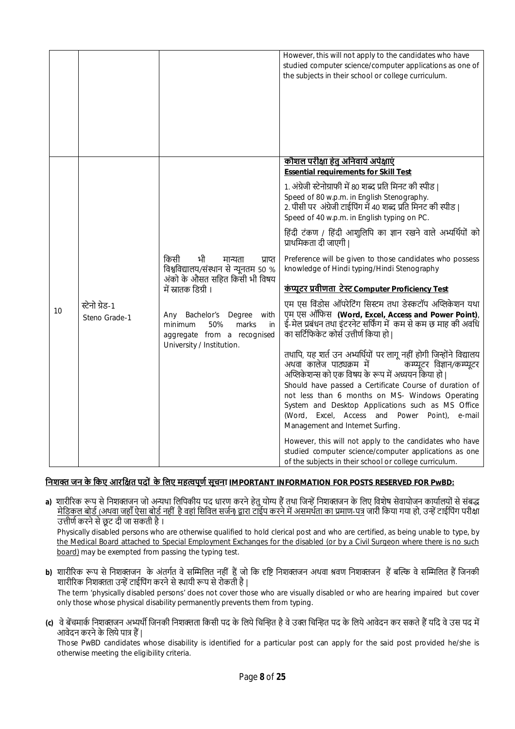|    |                                 |                                                                                                                                                                                                                                                                       | However, this will not apply to the candidates who have<br>studied computer science/computer applications as one of<br>the subjects in their school or college curriculum.                                                                                                                                                                                                                                                                    |
|----|---------------------------------|-----------------------------------------------------------------------------------------------------------------------------------------------------------------------------------------------------------------------------------------------------------------------|-----------------------------------------------------------------------------------------------------------------------------------------------------------------------------------------------------------------------------------------------------------------------------------------------------------------------------------------------------------------------------------------------------------------------------------------------|
|    |                                 |                                                                                                                                                                                                                                                                       | <u>कौशल परीक्षा हेतु अनिवार्य अपेक्षाएं</u><br><b>Essential requirements for Skill Test</b>                                                                                                                                                                                                                                                                                                                                                   |
|    |                                 |                                                                                                                                                                                                                                                                       | 1. अंग्रेजी स्टेनोग्राफी में 80 शब्द प्रति मिनट की स्पीड।<br>Speed of 80 w.p.m. in English Stenography.<br>2. पीसी पर अंग्रेजी टाईपिंग में 40 शब्द प्रति मिनट की स्पीड।<br>Speed of 40 w.p.m. in English typing on PC.                                                                                                                                                                                                                        |
|    | स्टेनो ग्रेड-1<br>Steno Grade-1 |                                                                                                                                                                                                                                                                       | हिंदी टंकण / हिंदी आशुलिपि का ज्ञान रखने वाले अभ्यर्थियों को<br>प्राथमिकता दी जाएगी                                                                                                                                                                                                                                                                                                                                                           |
|    |                                 | किसी<br>भी<br>मान्यता<br>प्राप्त<br>विश्वविद्यालय/संस्थान से न्यूनतम 50 %<br>अंको के औसत सहित किसी भी विषय<br>में स्नातक डिग्री ।<br>Bachelor's<br>Degree<br>with<br>Any<br>50%<br>marks<br>in<br>minimum<br>aggregate from a recognised<br>University / Institution. | Preference will be given to those candidates who possess<br>knowledge of Hindi typing/Hindi Stenography                                                                                                                                                                                                                                                                                                                                       |
|    |                                 |                                                                                                                                                                                                                                                                       | <u>कंप्यूटर प्रवीणता टेस्ट Computer Proficiency Test</u>                                                                                                                                                                                                                                                                                                                                                                                      |
| 10 |                                 |                                                                                                                                                                                                                                                                       | एम एस विंडोस ऑपरेटिंग सिस्टम तथा डेस्कटॉप अप्लिकेशन यथा<br>एम एस ऑफिस (Word, Excel, Access and Power Point),<br>ई-मेल प्रबंधन तथा इंटरनेट सर्फिंग में कम से कम छ माह की अवधि<br>का सर्टिफिकेट कोर्स उत्तीर्ण किया हो।                                                                                                                                                                                                                         |
|    |                                 |                                                                                                                                                                                                                                                                       | तथापि, यह शर्त उन अभ्यर्थियों पर लागू नहीं होगी जिन्होंने विद्यालय<br>अथवा कालेज पाठ्यक्रम में<br>कम्प्यूटर विज्ञान/कम्प्यूटर<br>अप्लिकेशन्स को एक विषय के रूप में अध्ययन किया हो  <br>Should have passed a Certificate Course of duration of<br>not less than 6 months on MS- Windows Operating<br>System and Desktop Applications such as MS Office<br>(Word, Excel, Access and Power Point),<br>e-mail<br>Management and Internet Surfing. |
|    |                                 |                                                                                                                                                                                                                                                                       | However, this will not apply to the candidates who have<br>studied computer science/computer applications as one<br>of the subjects in their school or college curriculum.                                                                                                                                                                                                                                                                    |

## **िनशƅ जन के िकए आरिƗत पदों के िलए महȕपूणŊ सूचना IMPORTANT INFORMATION FOR POSTS RESERVED FOR PwBD:**

a) शारीरिक रूप से निशक्तजन जो अन्यथा लिपिकीय पद धारण करने हेतु योग्य हैं तथा जिन्हें निशक्तजन के लिए विशेष सेवायोजन कार्यालयों से संबद्ध <u>मेडिकल बोर्ड (अथवा जहाँ ऐसा बोर्ड नहीं है वहां सिविल सर्जन) द्वारा टाईप करने में असमर्थता का प्रमाण-पत्र</u> जारी किया गया हो, उन्हें टाईपिंग परीक्षा उत्तीर्ण करने से छूट दी जा सकती है।

Physically disabled persons who are otherwise qualified to hold clerical post and who are certified, as being unable to type, by the Medical Board attached to Special Employment Exchanges for the disabled (or by a Civil Surgeon where there is no such board) may be exempted from passing the typing test.

- **b)** शारीरिक रूप से निशक्तजन के अंतर्गत वे सम्मिलित नहीं हैं जो कि दृष्टि निशक्तजन अथवा श्रवण निशक्तजन हैं बल्कि वे सम्मिलित हैं जिनकी शारीरिक निशक्तता उन्हें टाईपिंग करने से स्थायी रूप से रोकती है। The term 'physically disabled persons' does not cover those who are visually disabled or who are hearing impaired but cover only those whose physical disability permanently prevents them from typing.
- **(c)** वे बेंचमार्क निशक्तजन अभ्यर्थी जिनकी निशक्तता किसी पद के लिये चिन्हित है वे उक्त चिन्हित पद के लिये आवेदन कर सकते हैं यदि वे उस पद में आवेदन करने के लिये पात्र हैं |

Those PwBD candidates whose disability is identified for a particular post can apply for the said post provided he/she is otherwise meeting the eligibility criteria.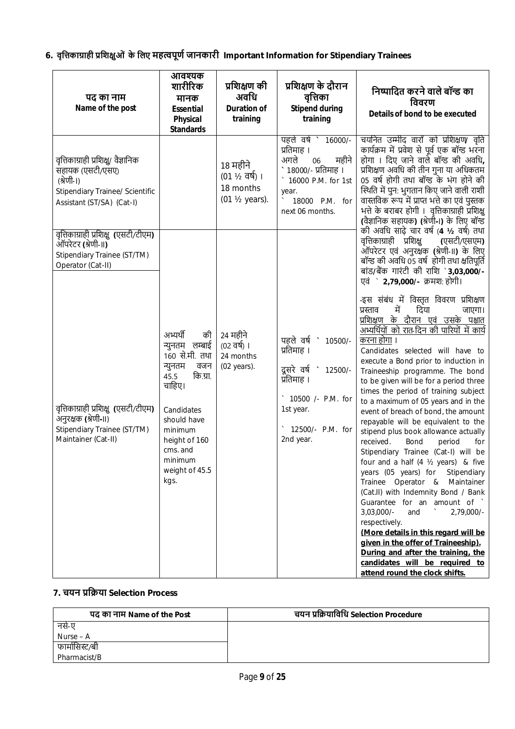**6. वृिȅकाŤाही ŮिशƗुओं के िलए महȕपूणŊ जानकारी Important Information for Stipendiary Trainees**

| पद का नाम<br>Name of the post                                                                                                                | आवश्यक<br>शारीरिक<br>मानक<br><b>Essential</b><br><b>Physical</b><br><b>Standards</b>                                                                                                                         | प्रशिक्षण की<br>अवधि<br><b>Duration of</b><br>training    | प्रशिक्षण के दौरान<br>वृत्तिका<br><b>Stipend during</b><br>training                                                                                | निष्पादित करने वाले बॉन्ड का<br>विवरण<br>Details of bond to be executed                                                                                                                                                                                                                                                                                                                                                                                                                                                                                                                                                                                                                                                                                                                                                                                                                                                                                                                                                                                         |
|----------------------------------------------------------------------------------------------------------------------------------------------|--------------------------------------------------------------------------------------------------------------------------------------------------------------------------------------------------------------|-----------------------------------------------------------|----------------------------------------------------------------------------------------------------------------------------------------------------|-----------------------------------------------------------------------------------------------------------------------------------------------------------------------------------------------------------------------------------------------------------------------------------------------------------------------------------------------------------------------------------------------------------------------------------------------------------------------------------------------------------------------------------------------------------------------------------------------------------------------------------------------------------------------------------------------------------------------------------------------------------------------------------------------------------------------------------------------------------------------------------------------------------------------------------------------------------------------------------------------------------------------------------------------------------------|
| वृत्तिकाग्राही प्रशिक्षु/ वैज्ञानिक<br>सहायक (एसटी/एसए)<br>(श्रेणी-।)<br><b>Stipendiary Trainee/ Scientific</b><br>Assistant (ST/SA) (Cat-I) |                                                                                                                                                                                                              | 18 महीने<br>(01 ½ वर्ष) ।<br>18 months<br>(01 1/2 years). | पहले वर्ष ` 16000/-<br>प्रतिमाह ।<br>अगले<br>महीने<br>06<br>१८०००/- प्रतिमाह ।<br>16000 P.M. for 1st<br>year.<br>18000 P.M. for<br>next 06 months. | चयनित उम्मीद वारों को प्रशिक्षण∕ वृति<br>कार्यक्रम में प्रवेश से पूर्व एक बॉन्ड भरना<br>होगा । दिए जाने वाले बॉन्ड की अवधि,<br>प्रशिक्षण अवधि की तीन गुना या अधिकतम<br>05 वर्ष होगी तथा बॉन्ड के भंग होने की<br>स्थिति में पुन: भुगतान किए जाने वाली राशी<br>वास्तविक रूप में प्राप्त भत्ते का एवं पुस्तक<br>भत्ते के बराबर होगी । वृत्तिकाग्राही प्रशिक्षु<br>(वैज्ञानिक सहायक) (श्रेणी-।) के लिए बॉन्ड<br>की अवधि साढ़े चार वर्ष (4 ½ वर्ष) तथा                                                                                                                                                                                                                                                                                                                                                                                                                                                                                                                                                                                                               |
| वृत्तिकाग्राही प्रशिक्षु (एसटी/टीएम)<br>ऑपरेटर (श्रेणी-II)<br>Stipendiary Trainee (ST/TM)<br>Operator (Cat-II)                               |                                                                                                                                                                                                              |                                                           |                                                                                                                                                    | वृत्तिकाग्राही प्रशिक्षु<br>(एसटी/एसएम)<br>ऑपरेटर एवं अनुरक्षक (श्रेणी-II) के लिए<br>बॉन्ड की अवधि 05 वर्ष होगी तथा क्षतिपूर्ति<br>बांड/बैंक गारंटी की राशि `3,03,000/-<br>एवं ` 2,79,000/- क्रमश: होगी।                                                                                                                                                                                                                                                                                                                                                                                                                                                                                                                                                                                                                                                                                                                                                                                                                                                        |
| वृत्तिकाग्राही प्रशिक्षु (एसटी/टीएम)<br>अनुरक्षक (श्रेणी-II)<br>Stipendiary Trainee (ST/TM)<br>Maintainer (Cat-II)                           | अभ्यर्थी<br>की<br>न्युनतम लम्बाई<br>160 से.मी. तथा<br>न्युनतम<br>वजन<br>कि.ग्रा.<br>45.5<br>चाहिए।<br>Candidates<br>should have<br>minimum<br>height of 160<br>cms. and<br>minimum<br>weight of 45.5<br>kgs. | 24 महीने<br>(02 वर्ष) ।<br>24 months<br>(02 years).       | पहले वर्ष<br>10500/-<br>प्रतिमाह ।<br>दूसरे वर्ष<br>12500/-<br>प्रतिमाह ।<br>10500 /- P.M. for<br>1st year.<br>12500/- P.M. for<br>2nd year.       | -इस संबंध में विस्तृत विवरण प्रशिक्षण<br>में<br>दिया<br>प्रस्ताव<br>जाएगा।<br>प्रशिक्षण के दौरान एवं उसके पश्चात<br>अभ्यर्थियों को रात-दिन की पारियों में कार्य<br>करना होगा ।<br>Candidates selected will have to<br>execute a Bond prior to induction in<br>Traineeship programme. The bond<br>to be given will be for a period three<br>times the period of training subject<br>to a maximum of 05 years and in the<br>event of breach of bond, the amount<br>repayable will be equivalent to the<br>stipend plus book allowance actually<br>received.<br>Bond<br>period<br>for<br>Stipendiary Trainee (Cat-I) will be<br>four and a half (4 1/2 years) & five<br>years (05 years) for<br>Stipendiary<br>Trainee Operator & Maintainer<br>(Cat.II) with Indemnity Bond / Bank<br>Guarantee for an amount of `<br>$3,03,000/-$<br>and<br>2,79,000/-<br>respectively.<br>(More details in this regard will be<br>given in the offer of Traineeship).<br>During and after the training, the<br>candidates will be required to<br>attend round the clock shifts. |

# **7. चयन ŮिŢया Selection Process**

| पद का नाम Name of the Post | चयन प्रक्रियाविधि Selection Procedure |  |  |  |
|----------------------------|---------------------------------------|--|--|--|
| नसे-ए                      |                                       |  |  |  |
| Nurse – $A$                |                                       |  |  |  |
| फार्मासिस्ट/बी             |                                       |  |  |  |
| Pharmacist/B               |                                       |  |  |  |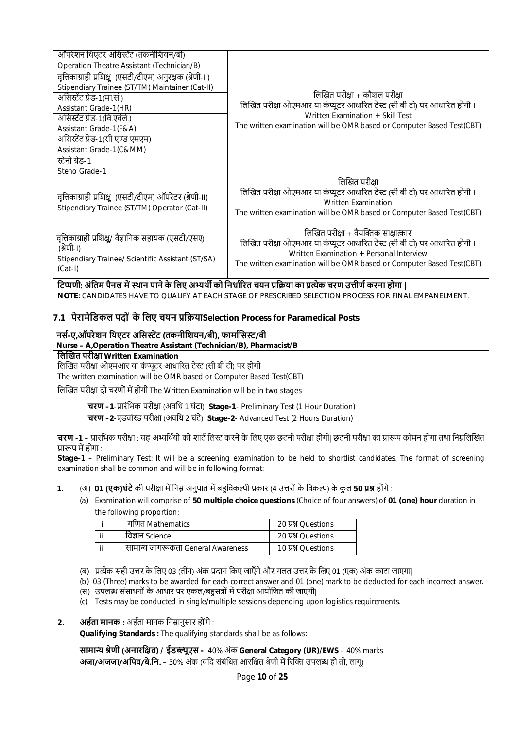| ऑपरेशन थिएटर असिस्टेंट (तकनीशियन/बी)<br>Operation Theatre Assistant (Technician/B)<br>वृत्तिकाग्राही प्रशिक्षु (एसटी/टीएम) अनुरक्षक (श्रेणी-II)<br>Stipendiary Trainee (ST/TM) Maintainer (Cat-II)<br>असिस्टेंट ग्रेड-1(मा.सं.)<br>Assistant Grade-1(HR)<br>असिस्टेंट ग्रेड-1(वि.एवंले.)<br>Assistant Grade-1(F&A)<br>असिस्टेंट ग्रेड-1(सी एण्ड एमएम)<br>Assistant Grade-1(C&MM)<br>स्टेनो ग्रेड-1<br>Steno Grade-1 | लिखित परीक्षा + कौशल परीक्षा<br>लिखित परीक्षा ओएमआर या कंप्यूटर आधारित टेस्ट (सी बी टी) पर आधारित होगी ।<br>Written Examination + Skill Test<br>The written examination will be OMR based or Computer Based Test(CBT)                  |
|---------------------------------------------------------------------------------------------------------------------------------------------------------------------------------------------------------------------------------------------------------------------------------------------------------------------------------------------------------------------------------------------------------------------|----------------------------------------------------------------------------------------------------------------------------------------------------------------------------------------------------------------------------------------|
| वृत्तिकाग्राही प्रशिक्षु (एसटी/टीएम) ऑपरेटर (श्रेणी-।।)<br>Stipendiary Trainee (ST/TM) Operator (Cat-II)                                                                                                                                                                                                                                                                                                            | लिखित परीक्षा<br>लिखित परीक्षा ओएमआर या कंप्यूटर आधारित टेस्ट (सी बी टी) पर आधारित होगी ।<br><b>Written Examination</b><br>The written examination will be OMR based or Computer Based Test(CBT)                                       |
| वृत्तिकाग्राही प्रशिक्ष्/ वैज्ञानिक सहायक (एसटी/एसए)<br>(श्रेणी-।)<br>Stipendiary Trainee/ Scientific Assistant (ST/SA)<br>$(Cat-I)$                                                                                                                                                                                                                                                                                | लिखित परीक्षा + वैयक्तिक साक्षात्कार<br>लिखित परीक्षा ओएमआर या कंप्यूटर आधारित टेस्ट (सी बी टी) पर आधारित होगी ।<br>Written Examination + Personal Interview<br>The written examination will be OMR based or Computer Based Test (CBT) |

 $\overline{\text{C}}$ प्पणी: अंतिम पैनल में स्थान पाने के लिए अभ्यर्थी को निर्धारित चयन प्रक्रिया का प्रत्येक चरण उत्तीर्ण करना होगा | **NOTE:** CANDIDATES HAVE TO QUALIFY AT EACH STAGE OF PRESCRIBED SELECTION PROCESS FOR FINAL EMPANELMENT.

## **7.1 पेरामेिडकल पदों के िलए चयन ŮिŢयाSelection Process for Paramedical Posts**

## **नसŊ-ए,ऑपरेशन िथएटर अिसːŐट (तकनीिशयन/बी), फामाŊिसː/बी Nurse – A,Operation Theatre Assistant (Technician/B), Pharmacist/B िलİखत परीƗा Written Examination** लिखित परीक्षा ओएमआर या कंप्यूटर आधारित टेस्ट (सी बी टी) पर होगी The written examination will be OMR based or Computer Based Test(CBT) लिखित परीक्षा दो चरणों में होगी The Written Examination will be in two stages

**चरण –1**-Ůारंिभक परीƗा (अविध 1 घंटा) **Stage-1**- Preliminary Test (1 Hour Duration)

**चरण –2**-एडवां̾ड परीƗा (अविध 2 घंटे) **Stage-2**- Advanced Test (2 Hours Duration)

**चरण -1** – प्रारंभिक परीक्षा : यह अभ्यर्थियों को शार्ट लिस्ट करने के लिए एक छंटनी परीक्षा होगी। छंटनी परीक्षा का प्रारूप कॉमन होगा तथा निम्नलिखित प्रारूप में होगा :

**Stage-1** – Preliminary Test: It will be a screening examination to be held to shortlist candidates. The format of screening examination shall be common and will be in following format:

**1.** (अ) **01 (एक)घंटे** की परीक्षा में निम्न अनुपात में बहुविकल्पी प्रकार (4 उत्तरों के विकल्प) के कुल 50 **प्रश्न** होंगे :

(a) Examination will comprise of **50 multiple choice questions** (Choice of four answers) of **01 (one) hour** duration in the following proportion:

| गणित Mathematics                   | 20 贝别 Ouestions |
|------------------------------------|-----------------|
| विज्ञान Science                    | 20 贝别 Ouestions |
| सामान्य जागरूकता General Awareness | 10 贝别 Ouestions |

(ब) प्रत्येक सही उत्तर के लिए 03 (तीन) अंक प्रदान किए जाएँगे और गलत उत्तर के लिए 01 (एक) अंक काटा जाएगा|

(b) 03 (Three) marks to be awarded for each correct answer and 01 (one) mark to be deducted for each incorrect answer.

(स) उपलब्ध संसाधनों के आधार पर एकल/बहुसत्रों में परीक्षा आयोजित की जाएगी|

(c) Tests may be conducted in single/multiple sessions depending upon logistics requirements.

**2. अर्हता मानक :** अर्हता मानक निम्नानुसार होंगे :

**Qualifying Standards :** The qualifying standards shall be as follows:

**सामाɊ ŵेणी (अनारिƗत) / ईडɲूएस -** 40% अंक **General Category (UR)/EWS** – 40% marks **अजा/अजजा/अपिव/बे.नि.** – 30% अंक (यदि संबंधित आरक्षित श्रेणी में रिक्ति उपलब्ध हो तो, लागू)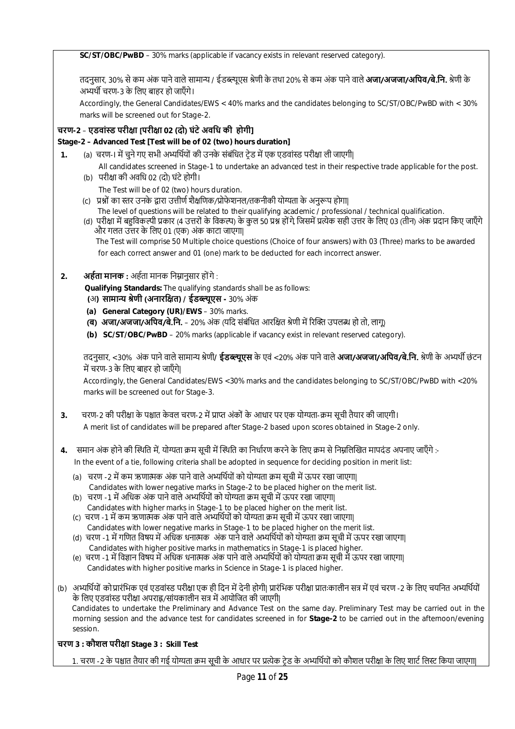**SC/ST/OBC/PwBD** – 30% marks (applicable if vacancy exists in relevant reserved category).

तदनुसार, 30% से कम अंक पाने वाले सामान्य / ईडब्ल्यूएस श्रेणी के तथा 20% से कम अंक पाने वाले **अजा/अजजा/अपिव/बे.नि.** श्रेणी के अभ्यर्थी चरण-3 के लिए बाहर हो जाएँगे।

Accordingly, the General Candidates/EWS < 40% marks and the candidates belonging to SC/ST/OBC/PwBD with < 30% marks will be screened out for Stage-2.

## **चरण-2** – **एडवां̾ड परीƗा [परीƗा 02 (दो) घंटे अविध की होगी]**

## **Stage-2 – Advanced Test [Test will be of 02 (two) hours duration]**

- **1.** (a) चरण-I में चुने गए सभी अभ्यर्थियों की उनके संबंधित ट्रेड में एक एडवांस्ड परीक्षा ली जाएगी|
	- All candidates screened in Stage-1 to undertake an advanced test in their respective trade applicable for the post. (b) परीक्षा की अवधि 02 (दो) घंटे होगी।
		- The Test will be of 02 (two) hours duration.
	- (c) प्रश्नों का स्तर उनके द्वारा उत्तीर्ण शैक्षणिक/प्रोफेशनल/तकनीकी योग्यता के अनुरूप होगा|
		- The level of questions will be related to their qualifying academic / professional / technical qualification.
	- (d) परीक्षा में बहुविकल्पी प्रकार (4 उत्तरों के विकल्प) के कुल 50 प्रश्न होंगे, जिसमें प्रत्येक सही उत्तर के लिए 03 (तीन) अंक प्रदान किए जाएँगे और गलत उȅर के िलए 01 (एक) अंक काटा जाएगा| The Test will comprise 50 Multiple choice questions (Choice of four answers) with 03 (Three) marks to be awarded for each correct answer and 01 (one) mark to be deducted for each incorrect answer.

## **2. अर्हता मानक :** अर्हता मानक निम्नानुसार होंगे :

 **Qualifying Standards:** The qualifying standards shall be as follows: **(**अ**) सामाɊ ŵेणी (अनारिƗत) / ईडɲूएस -** 30% अंक

- **(a) General Category (UR)/EWS** 30% marks.
- **(ब) अजा/अजजा/अपिव/बे.नि.** 20% अंक (यदि संबंधित आरक्षित श्रेणी में रिक्ति उपलब्ध हो तो, लागू)
- **(b) SC/ST/OBC/PwBD** 20% marks (applicable if vacancy exist in relevant reserved category).

तदनुसार, <30% अंक पाने वाले सामाɊ ŵेणी**/ ईडɲूएस** के एवं <20% अंक पाने वाले **अजा/अजजा/अिपव/बे.िन.** ŵेणी के अɷथŎ छं टन में चरण-3 के लिए बाहर हो जाएँगे।

Accordingly, the General Candidates/EWS <30% marks and the candidates belonging to SC/ST/OBC/PwBD with <20% marks will be screened out for Stage-3.

- 3. चरण-2 की परीक्षा के पश्चात केवल चरण-2 में प्राप्त अंकों के आधार पर एक योग्यता-कम सूची तैयार की जाएगी। A merit list of candidates will be prepared after Stage-2 based upon scores obtained in Stage-2 only.
- **4.** समान अंक होने की स्थिति में, योग्यता क्रम सूची में स्थिति का निर्धारण करने के लिए क्रम से निम्नलिखित मापदंड अपनाए जाएँगे :-

In the event of a tie, following criteria shall be adopted in sequence for deciding position in merit list:

- (a) चरण -2 में कम ऋणात्मक अंक पाने वाले अभ्यर्थियों को योग्यता क्रम सूची में ऊपर रखा जाएगा| Candidates with lower negative marks in Stage-2 to be placed higher on the merit list.
- (b) चरण -1 में अधिक अंक पाने वाले अभ्यर्थियों को योग्यता क्रम सूची में ऊपर रखा जाएगा| Candidates with higher marks in Stage-1 to be placed higher on the merit list.
- (c) चरण -1 में कम ऋणात्मक अंक पाने वाले अभ्यर्थियों को योग्यता क्रम सूची में ऊपर रखा जाएगा। Candidates with lower negative marks in Stage-1 to be placed higher on the merit list.
- (d) चरण -1 में गणित विषय में अधिक धनात्मक अंक पाने वाले अभ्यर्थियों को योग्यता क्रम सूची में ऊपर रखा जाएगा। Candidates with higher positive marks in mathematics in Stage-1 is placed higher.
- (e) चरण -1 में विज्ञान विषय में अधिक धनात्मक अंक पाने वाले अभ्यर्थियों को योग्यता क्रम सूची में ऊपर रखा जाएगा| Candidates with higher positive marks in Science in Stage-1 is placed higher.
- (b) अभ्यर्थियों को प्रारंभिक एवं एडवांस्ड परीक्षा एक ही दिन में देनी होगी| प्रारंभिक परीक्षा प्रातःकालीन सत्र में एवं चरण -2 के लिए चयनित अभ्यर्थियों के लिए एडवांस्ड परीक्षा अपराह्न/सांयकालीन सत्र में आयोजित की जाएगी| Candidates to undertake the Preliminary and Advance Test on the same day. Preliminary Test may be carried out in the morning session and the advance test for candidates screened in for **Stage-2** to be carried out in the afternoon/evening session.

## **चरण 3 : कौशल परीƗा Stage 3 : Skill Test**

1. चरण -2 के पश्चात तैयार की गई योग्यता क्रम सूची के आधार पर प्रत्येक टेड के अभ्यर्थियों को कौशल परीक्षा के लिए शार्ट लिस्ट किया जाएगा|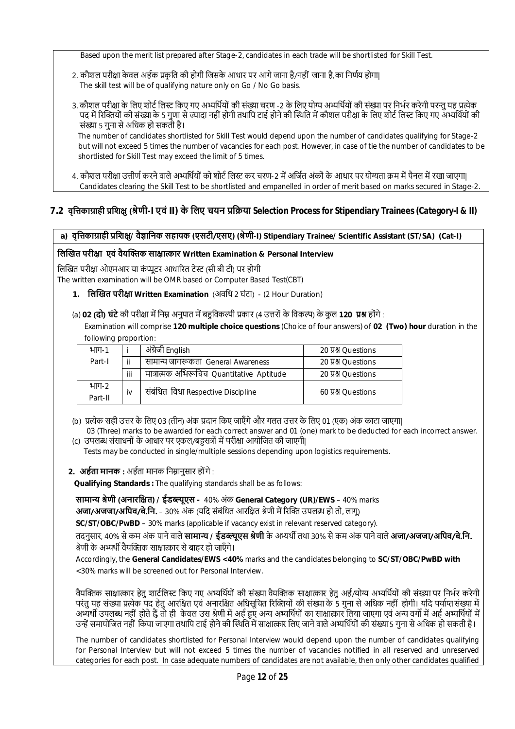Based upon the merit list prepared after Stage-2, candidates in each trade will be shortlisted for Skill Test.

- 2. कौशल परीक्षा केवल अर्हक प्रकति की होगी जिसके आधार पर आगे जाना है/नहीं जाना है,का निर्णय होगा। The skill test will be of qualifying nature only on Go / No Go basis.
- 3. कौशल परीक्षा के लिए शोर्ट लिस्ट किए गए अभ्यर्थियों की संख्या चरण -2 के लिए योग्य अभ्यर्थियों की संख्या पर निर्भर करेगी परन्त यह प्रत्येक पद में रिक्तियों की संख्या के 5 गुणा से ज्यादा नहीं होगी तथापि टाई होने की स्थिति में कौशल परीक्षा के लिए शोर्ट लिस्ट किए गए अभ्यर्थियों की संख्या 5 गुना से अधिक हो सकती है।

The number of candidates shortlisted for Skill Test would depend upon the number of candidates qualifying for Stage-2 but will not exceed 5 times the number of vacancies for each post. However, in case of tie the number of candidates to be shortlisted for Skill Test may exceed the limit of 5 times.

4. कौशल परीक्षा उत्तीर्ण करने वाले अभ्यर्थियों को शोर्ट लिस्ट कर चरण-2 में अर्जित अंकों के आधार पर योग्यता क्रम में पैनल में रखा जाएगा| Candidates clearing the Skill Test to be shortlisted and empanelled in order of merit based on marks secured in Stage-2.

## **7.2 वृिȅकाŤाही ŮिशƗु(ŵेणी-I एवं II) के िलए चयन ŮिŢया Selection Process for Stipendiary Trainees (Category-I & II)**

## **a) वृिȅकाŤाही ŮिशƗु/ वैǒािनक सहायक (एसटी/एसए) (ŵेणी-I) Stipendiary Trainee/ Scientific Assistant (ST/SA) (Cat-I)**

#### **िलİखत परीƗा एवं वैयİƅक साƗा̝ कार Written Examination & Personal Interview**

लिखित परीक्षा ओएमआर या कंप्यूटर आधारित टेस्ट (सी बी टी) पर होगी The written examination will be OMR based or Computer Based Test(CBT)

**1. िलİखत परीƗा Written Examination** (अविध 2 घंटा) - (2 Hour Duration)

## (a) **02 (दो) घंटे** की परीक्षा में निम्न अनुपात में बहुविकल्पी प्रकार (4 उत्तरों के विकल्प) के कुल 120 **प्रश्न** होंगे :

 Examination will comprise **120 multiple choice questions** (Choice of four answers) of **02 (Two) hour** duration in the following proportion:

| भाग-1            |                                          | अंग्रेजी English                          | 20 贝别 Questions |
|------------------|------------------------------------------|-------------------------------------------|-----------------|
| Part-I           | ii<br>सामान्य जागरूकता General Awareness |                                           | 20 贝别 Questions |
|                  | iii                                      | मात्रात्मक अभिरूचिच Quantitative Aptitude | 20 贝别 Ouestions |
| भाग-2<br>Part-II | iv                                       | संबंधित विधा Respective Discipline        | 60 Y MOuestions |

- (b) प्रत्येक सही उत्तर के लिए 03 (तीन) अंक प्रदान किए जाएँगे और गलत उत्तर के लिए 01 (एक) अंक काटा जाएगा।
- 03 (Three) marks to be awarded for each correct answer and 01 (one) mark to be deducted for each incorrect answer. (c) उपलब्ध संसाधनों के आधार पर एकल/बहसत्रों में परीक्षा आयोजित की जाएगी|
- Tests may be conducted in single/multiple sessions depending upon logistics requirements.

## 2. **अर्हता मानक :** अर्हता मानक निम्रानसार होंगे :

 **Qualifying Standards :** The qualifying standards shall be as follows:

**सामाɊ ŵेणी (अनारिƗत) / ईडɲूएस -** 40% अंक **General Category (UR)/EWS** – 40% marks **अजा/अजजा/अपिव/बे.नि.** – 30% अंक (यदि संबंधित आरक्षित श्रेणी में रिक्ति उपलब्ध हो तो, लागू)

**SC/ST/OBC/PwBD** – 30% marks (applicable if vacancy exist in relevant reserved category).

तदनुसार, 40% सेकम अंक पाने वाले **सामाɊ / ईडɲूएस ŵेणी** के अɷथŎ तथा 30% से कम अंक पाने वाले **अजा/अजजा/अिपव/बे.िन.** <u>श्रेणी के अभ्यर्थी वैयक्तिक साक्षात्कार से बाहर हो जाएँगे।</u>

Accordingly, the **General Candidates/EWS <40%** marks and the candidates belonging to **SC/ST/OBC/PwBD with**  <30% marks will be screened out for Personal Interview.

वैयक्तिक साक्षात्कार हेत शार्टलिस्ट किए गए अभ्यर्थियों की संख्या वैयक्तिक साक्षात्कार हेतु अर्ह/योग्य अभ्यर्थियों की संख्या पर निर्भर करेगी परंतु यह संख्या प्रत्येक पद हेतु आरक्षित एवं अनारक्षित अधिसूचित रिक्तियों की संख्या के 5 गुना से अधिक नहीं होगी। यदि पर्याप्तसंख्या में अभ्यर्थी उपलब्ध नहीं होते हैं, तो ही केवल उस श्रेणी में अहं हुए अन्य अभ्यर्थियों का साक्षात्कार लिया जाएगा एवं अन्य वर्गो में अहं अभ्यर्थियों में उन्हें समायोजित नहीं किया जाएगा तथापि टाई होने की स्थिति में साक्षात्कार लिए जाने वाले अभ्यर्थियों की संख्या 5 गुना से अधिक हो सकती है।

The number of candidates shortlisted for Personal Interview would depend upon the number of candidates qualifying for Personal Interview but will not exceed 5 times the number of vacancies notified in all reserved and unreserved categories for each post. In case adequate numbers of candidates are not available, then only other candidates qualified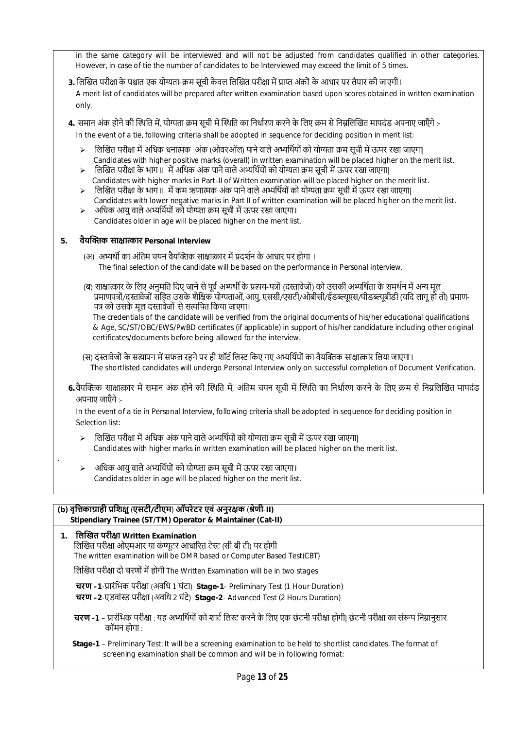in the same category will be interviewed and will not be adjusted from candidates qualified in other categories. However, in case of tie the number of candidates to be Interviewed may exceed the limit of 5 times.

- 3. लिखित परीक्षा के पश्चात एक योग्यता-क्रम सूची केवल लिखित परीक्षा में प्राप्त अंकों के आधार पर तैयार की जाएगी। A merit list of candidates will be prepared after written examination based upon scores obtained in written examination only.
- **4.** समान अंक होने की स्थिति में, योग्यता क्रम सूची में स्थिति का निर्धारण करने के लिए क्रम से निम्नलिखित मापदंड अपनाए जाएँगे :- In the event of a tie, following criteria shall be adopted in sequence for deciding position in merit list:
	- $\triangleright$  लिखित परीक्षा में अधिक धनात्मक अंक (ओवरऑल) पाने वाले अभ्यर्थियों को योग्यता क्रम सूची में ऊपर रखा जाएगा| Candidates with higher positive marks (overall) in written examination will be placed higher on the merit list.
	- िलिखित परीक्षा के भाग II में अधिक अंक पाने वाले अभ्यर्थियों को योग्यता क्रम सूची में ऊपर रखा जाएगा| Candidates with higher marks in Part-II of Written examination will be placed higher on the merit list.
	- $>$  लिखित परीक्षा के भाग II में कम ऋणात्मक अंक पाने वाले अभ्यर्थियों को योग्यता क्रम सूची में ऊपर रखा जाएगा| Candidates with lower negative marks in Part II of written examination will be placed higher on the merit list.
	- अधिक आयु वाले अभ्यर्थियों को योग्यता क्रम सूची में ऊपर रखा जाएगा। Candidates older in age will be placed higher on the merit list.

## **5. वैयİƅक साƗा̝ कार Personal Interview**

- (अ) अभ्यर्थी का अंतिम चयन वैयक्तिक साक्षात्कार में प्रदर्शन के आधार पर होगा । The final selection of the candidate will be based on the performance in Personal interview.
- (ब) साक्षात्कार के लिए अनमति दिए जाने से पर्व अभ्यर्थी के प्रत्यय-पत्रों (दस्तावेजों) को उसकी अभ्यर्थिता के समर्थन में अन्य मूल प्रमाणपत्रों/दस्तावेजों सहित उसके शैक्षिक योग्यताओं, आयु, एससी/एसटी/ओबीसी/ईडब्ल्यूएस/पीडब्ल्यूबीडी (यदि लागू हो तो) प्रमाण-पत्र को उसके मूल दस्तावेजों से सत्यपित किया जाएगा।

 The credentials of the candidate will be verified from the original documents of his/her educational qualifications & Age, SC/ST/OBC/EWS/PwBD certificates (if applicable) in support of his/her candidature including other original certificates/documents before being allowed for the interview.

- (स) दस्तावेजों के सत्यापन में सफल रहने पर ही शॉर्ट लिस्ट किए गए अभ्यर्थियों का वैयक्तिक साक्षात्कार लिया जाएगा। The shortlisted candidates will undergo Personal Interview only on successful completion of Document Verification.
- 6.वैयक्तिक साक्षात्कार में समान अंक होने की स्थिति में, अंतिम चयन सूची में स्थिति का निर्धारण करने के लिए क्रम से निम्नलिखित मापदंड अपनाए जाएँगे :-

 In the event of a tie in Personal Interview, following criteria shall be adopted in sequence for deciding position in Selection list:

- $\triangleright$  लिखित परीक्षा में अधिक अंक पाने वाले अभ्यर्थियों को योग्यता क्रम सूची में ऊपर रखा जाएगा| Candidates with higher marks in written examination will be placed higher on the merit list.
- $>$  अधिक आयु वाले अभ्यर्थियों को योग्यता क्रम सूची में ऊपर रखा जाएगा। Candidates older in age will be placed higher on the merit list.

#### **(b) वृिȅकाŤाही ŮिशƗु** (**एसटी/टीएम**) **ऑपरेटर एवं अनुरƗक** (**ŵेणी**-**II) Stipendiary Trainee (ST/TM) Operator & Maintainer (Cat-II)**

.

- **1. िलİखत परीƗा Written Examination** लिखित परीक्षा ओएमआर या कंप्यूटर आधारित टेस्ट (सी बी टी) पर होगी The written examination will be OMR based or Computer Based Test(CBT) लिखित परीक्षा दो चरणों में होगी The Written Examination will be in two stages **चरण –1**-Ůारंिभक परीƗा (अविध 1 घंटा) **Stage-1**- Preliminary Test (1 Hour Duration) **चरण –2**-एडवां̾ड परीƗा (अविध 2 घंटे) **Stage-2**- Advanced Test (2 Hours Duration)
	- **चरण -1** प्रारंभिक परीक्षा : यह अभ्यर्थियों को शार्ट लिस्ट करने के लिए एक छंटनी परीक्षा होगी| छंटनी परीक्षा का संरूप निम्नानुसार कॉमन होगा :
	- **Stage-1** Preliminary Test: It will be a screening examination to be held to shortlist candidates. The format of screening examination shall be common and will be in following format: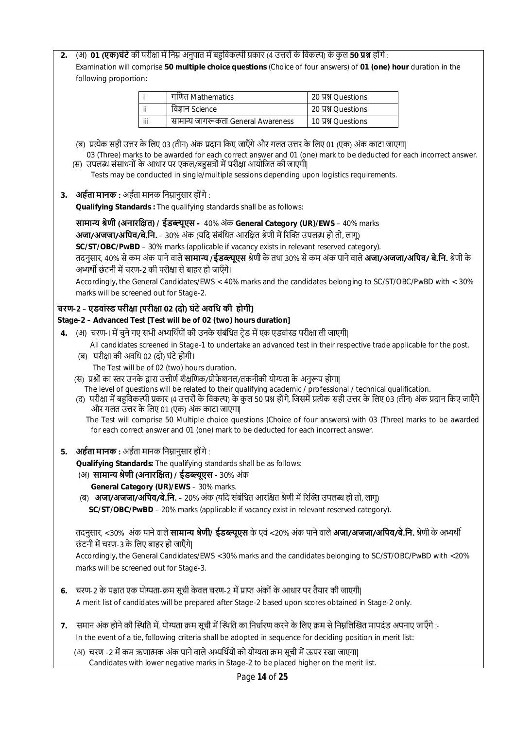**2.** (अ) **01 (एक)घंटे**की परीƗा मŐ िनɻ अनुपात मŐ बŠिवकʙी Ůकार (4 उȅरों के िवकʙ) के कु ल **50 Ůʲ** होंगे :

Examination will comprise **50 multiple choice questions** (Choice of four answers) of **01 (one) hour** duration in the following proportion:

|     | गणित Mathematics                   | 20 प्रश्न Ouestions |  |  |
|-----|------------------------------------|---------------------|--|--|
| ij  | विज्ञान Science                    | 20 YX Ouestions     |  |  |
| iii | सामान्य जागरूकता General Awareness | 10 贝别 Questions     |  |  |

- (ब) प्रत्येक सही उत्तर के लिए 03 (तीन) अंक प्रदान किए जाएँगे और गलत उत्तर के लिए 01 (एक) अंक काटा जाएगा। 03 (Three) marks to be awarded for each correct answer and 01 (one) mark to be deducted for each incorrect answer.
- (स) उपलब्ध संसाधनों के आधार पर एकल/बहुसत्रों में परीक्षा आयोजित की जाएगी| Tests may be conducted in single/multiple sessions depending upon logistics requirements.
- 3. **अर्हता मानक :** अर्हता मानक निम्नानुसार होंगे :

**Qualifying Standards :** The qualifying standards shall be as follows:

**सामाɊ ŵेणी (अनारिƗत) / ईडɲूएस -** 40% अंक **General Category (UR)/EWS** – 40% marks **अजा/अजजा/अपिव/बे.नि.** – 30% अंक (यदि संबंधित आरक्षित श्रेणी में रिक्ति उपलब्ध हो तो, लागू) **SC/ST/OBC/PwBD** – 30% marks (applicable if vacancy exists in relevant reserved category). तदनुसार, 40% सेकम अंक पाने वाले **सामाɊ /ईडɲूएस** ŵेणी के तथा 30% सेकम अंक पाने वाले **अजा/अजजा/अिपव/ बे.िन.** ŵेणी के अभ्यर्थी छंटनी में चरण-2 की परीक्षा से बाहर हो जाएँगे। Accordingly, the General Candidates/EWS < 40% marks and the candidates belonging to SC/ST/OBC/PwBD with < 30% marks will be screened out for Stage-2.

## **चरण-2** – **एडवां̾ड परीƗा [परीƗा 02 (दो) घंटे अविध की होगी]**

## **Stage-2 – Advanced Test [Test will be of 02 (two) hours duration]**

- **4.** (अ) चरण-I में चूने गए सभी अभ्यर्थियों की उनके संबंधित टेड में एक एडवांस्ड परीक्षा ली जाएगी| All candidates screened in Stage-1 to undertake an advanced test in their respective trade applicable for the post.
	- (ब) परीक्षा की अवधि 02 (दो) घंटे होगी।
		- The Test will be of 02 (two) hours duration.
	- (स) प्रश्नों का स्तर उनके द्रारा उत्तीर्ण शैक्षणिक/प्रोफेशनल/तकनीकी योग्यता के अनुरूप होगा|
		- The level of questions will be related to their qualifying academic / professional / technical qualification.
	- (द) परीक्षा में बहुविकल्पी प्रकार (4 उत्तरों के विकल्प) के कुल 50 प्रश्न होंगे, जिसमें प्रत्येक सही उत्तर के लिए 03 (तीन) अंक प्रदान किए जाएँगे और गलत उȅर के िलए 01 (एक) अंक काटा जाएगा|

 The Test will comprise 50 Multiple choice questions (Choice of four answers) with 03 (Three) marks to be awarded for each correct answer and 01 (one) mark to be deducted for each incorrect answer.

5. **अर्हता मानक :** अर्हता मानक निम्नानुसार होंगे :

**Qualifying Standards:** The qualifying standards shall be as follows:

- (अ) **सामाɊ ŵेणी (अनारिƗत) / ईडɲूएस -** 30% अंक
	- **General Category (UR)/EWS** 30% marks.

(ब) **अजा/अजजा/अपिव/बे.नि.** – 20% अंक (यदि संबंधित आरक्षित श्रेणी में रिक्ति उपलब्ध हो तो, लागू)

**SC/ST/OBC/PwBD** – 20% marks (applicable if vacancy exist in relevant reserved category).

## तदनुसार, <30% अंक पाने वाले **सामान्य श्रेणी/ ईडब्ल्यूएस** के एवं <20% अंक पाने वाले **अजा/अजजा/अपिव/बे.नि.** श्रेणी के अभ्यर्थी छंटनी में चरण-3 के लिए बाहर हो जाएँगे।

Accordingly, the General Candidates/EWS <30% marks and the candidates belonging to SC/ST/OBC/PwBD with <20% marks will be screened out for Stage-3.

- **6.** चरण-2 के पश्चात एक योग्यता-क्रम सूची केवल चरण-2 में प्राप्त अंकों के आधार पर तैयार की जाएगी| A merit list of candidates will be prepared after Stage-2 based upon scores obtained in Stage-2 only.
- **7.** समान अंक होने की स्थिति में, योग्यता क्रम सूची में स्थिति का निर्धारण करने के लिए क्रम से निम्नलिखित मापदंड अपनाए जाएँगे :-In the event of a tie, following criteria shall be adopted in sequence for deciding position in merit list:

(अ) चरण -2 में कम ऋणात्मक अंक पाने वाले अभ्यर्थियों को योग्यता क्रम सूची में ऊपर रखा जाएगा| Candidates with lower negative marks in Stage-2 to be placed higher on the merit list.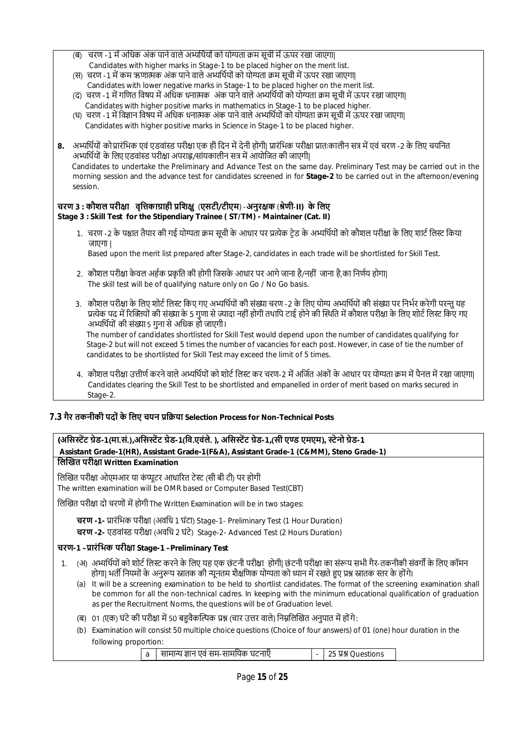- (ब) चरण -1 में अधिक अंक पाने वाले अभ्यर्थियों को योग्यता क्रम सूची में ऊपर रखा जाएगा| Candidates with higher marks in Stage-1 to be placed higher on the merit list.
- (स) चरण -1 में कम ऋणात्मक अंक पाने वाले अभ्यर्थियों को योग्यता क्रम सची में ऊपर रखा जाएगा| Candidates with lower negative marks in Stage-1 to be placed higher on the merit list.
- (द) चरण -1 में गणित विषय में अधिक धनात्मक अंक पाने वाले अभ्यर्थियों को योग्यता क्रम सची में ऊपर रखा जाएगा। Candidates with higher positive marks in mathematics in Stage-1 to be placed higher.
- (ध) चरण -1 में विज्ञान विषय में अधिक धनात्मक अंक पाने वाले अभ्यर्थियों को योग्यता क्रम सूची में ऊपर रखा जाएगा| Candidates with higher positive marks in Science in Stage-1 to be placed higher.
- 8. अभ्यर्थियों को प्रारंभिक एवं एडवांस्ड परीक्षा एक ही दिन में देनी होगी| प्रारंभिक परीक्षा प्रातःकालीन सत्र में एवं चरण -2 के लिए चयनित अभ्यर्थियों के लिए एडवांस्ड परीक्षा अपराह्न/सांयकालीन सत्र में आयोजित की जाएगी| Candidates to undertake the Preliminary and Advance Test on the same day. Preliminary Test may be carried out in the morning session and the advance test for candidates screened in for **Stage-2** to be carried out in the afternoon/evening session.

#### **चरण 3 : कौशल परीƗा वृिȅकाŤाही ŮिशƗु** (**एसटी/टीएम**) -**अनुरƗक** (**ŵेणी**-**II) के िलए Stage 3 : Skill Test for the Stipendiary Trainee ( ST/TM) - Maintainer (Cat. II)**

1. चरण -2 के पश्चात तैयार की गई योग्यता क्रम सूची के आधार पर प्रत्येक टेड के अभ्यर्थियों को कौशल परीक्षा के लिए शार्ट लिस्ट किया जाएगा |

Based upon the merit list prepared after Stage-2, candidates in each trade will be shortlisted for Skill Test.

- 2. कौशल परीक्षा केवल अर्हक प्रकृति की होगी जिसके आधार पर आगे जाना है/नहीं जाना है,का निर्णय होगा। The skill test will be of qualifying nature only on Go / No Go basis.
- 3. कौशल परीक्षा के लिए शोर्ट लिस्ट किए गए अभ्यर्थियों की संख्या चरण -2 के लिए योग्य अभ्यर्थियों की संख्या पर निर्भर करेगी परन्त यह प्रत्येक पद में रिक्तियों की संख्या के 5 गुणा से ज्यादा नहीं होगी तथापि टाई होने की स्थिति में कौशल परीक्षा के लिए शोर्ट लिस्ट किए गए अभ्यर्थियों की संख्या 5 गुना से अधिक हो जाएगी।

 The number of candidates shortlisted for Skill Test would depend upon the number of candidates qualifying for Stage-2 but will not exceed 5 times the number of vacancies for each post. However, in case of tie the number of candidates to be shortlisted for Skill Test may exceed the limit of 5 times.

4. कौशल परीक्षा उत्तीर्ण करने वाले अभ्यर्थियों को शोर्ट लिस्ट कर चरण-2 में अर्जित अंकों के आधार पर योग्यता क्रम में पैनल में रखा जाएगा। Candidates clearing the Skill Test to be shortlisted and empanelled in order of merit based on marks secured in Stage-2.

## **7.3 गैर तकनीकी पदों के िलए चयन ŮिŢया Selection Process for Non-Technical Posts**

following proportion:

| (असिस्टेंट ग्रेड-1(मा.सं.),असिस्टेंट ग्रेड-1(वि.एवंले. ), असिस्टेंट ग्रेड-1,(सी एण्ड एमएम), स्टेनो ग्रेड-1                              |  |  |  |  |
|-----------------------------------------------------------------------------------------------------------------------------------------|--|--|--|--|
| Assistant Grade-1(HR), Assistant Grade-1(F&A), Assistant Grade-1 (C&MM), Steno Grade-1)                                                 |  |  |  |  |
| लिखित परीक्षा Written Examination                                                                                                       |  |  |  |  |
| लिखित परीक्षा ओएमआर या कंप्यूटर आधारित टेस्ट (सी बी टी) पर होगी                                                                         |  |  |  |  |
| The written examination will be OMR based or Computer Based Test(CBT)                                                                   |  |  |  |  |
| लिखित परीक्षा दो चरणों में होगी The Written Examination will be in two stages:                                                          |  |  |  |  |
| चरण -1- प्रारंभिक परीक्षा (अवधि 1 घंटा) Stage-1- Preliminary Test (1 Hour Duration)                                                     |  |  |  |  |
| चरण -2- एडवांस्ड परीक्षा (अवधि 2 घंटे) Stage-2- Advanced Test (2 Hours Duration)                                                        |  |  |  |  |
| चरण-1 –प्रारंभिक परीक्षा Stage-1 –Preliminary Test                                                                                      |  |  |  |  |
| (अ)  अभ्यर्थियों को शोर्ट लिस्ट करने के लिए यह एक छंटनी परीक्षा  होगी  छंटनी परीक्षा का संरूप सभी गैर-तकनीकी संवर्गों के लिए कॉमन<br>1. |  |  |  |  |
| होगा  भर्ती नियमों के अनुरूप स्नातक की न्यूनतम शैक्षणिक योग्यता को ध्यान में रखते हुए प्रश्न स्नातक स्तर के होंगे                       |  |  |  |  |
| It will be a screening examination to be held to shortlist candidates. The format of the screening examination shall<br>(a)             |  |  |  |  |
| be common for all the non-technical cadres. In keeping with the minimum educational qualification of graduation                         |  |  |  |  |
| as per the Recruitment Norms, the questions will be of Graduation level.                                                                |  |  |  |  |
| 01 (एक) घंटे की परीक्षा में 50 बहुवैकल्पिक प्रश्न (चार उत्तर वाले) निम्नलिखित अनुपात में होंगे:<br>(ৰ)                                  |  |  |  |  |
| Examination will consist 50 multiple choice questions (Choice of four answers) of 01 (one) hour duration in the<br>(b)                  |  |  |  |  |

a सामाɊ ǒान एवं सम-सामियक घटनाएँ - 25 Ůʲ Questions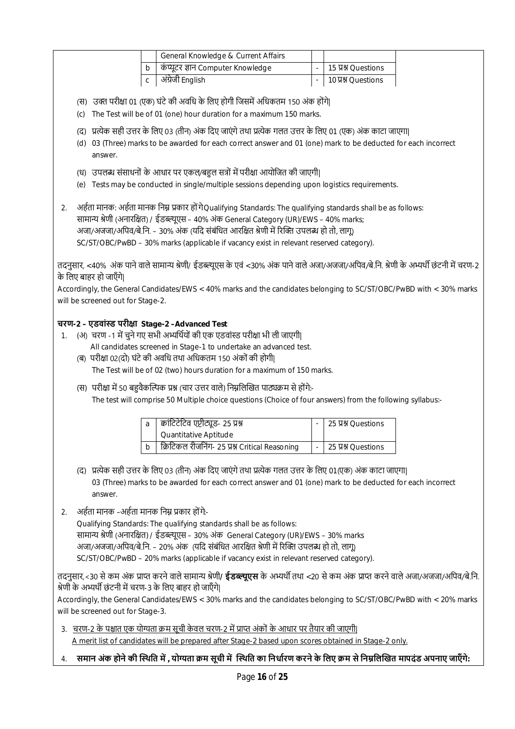|                                                                                                                                                                                                                                                                                                                                                                          |                                                                                                                                                                                                                                                                                                                                                                                                                                                                                                                                                        |         |              | General Knowledge & Current Affairs                                                                                                                                      |  |                     |  |
|--------------------------------------------------------------------------------------------------------------------------------------------------------------------------------------------------------------------------------------------------------------------------------------------------------------------------------------------------------------------------|--------------------------------------------------------------------------------------------------------------------------------------------------------------------------------------------------------------------------------------------------------------------------------------------------------------------------------------------------------------------------------------------------------------------------------------------------------------------------------------------------------------------------------------------------------|---------|--------------|--------------------------------------------------------------------------------------------------------------------------------------------------------------------------|--|---------------------|--|
|                                                                                                                                                                                                                                                                                                                                                                          |                                                                                                                                                                                                                                                                                                                                                                                                                                                                                                                                                        |         | b            | कंप्यूटर ज्ञान Computer Knowledge                                                                                                                                        |  | 15 贝别 Questions     |  |
|                                                                                                                                                                                                                                                                                                                                                                          |                                                                                                                                                                                                                                                                                                                                                                                                                                                                                                                                                        |         | $\mathsf{C}$ | अंग्रेजी English                                                                                                                                                         |  | 10 贝别 Questions     |  |
|                                                                                                                                                                                                                                                                                                                                                                          | (स) उक्त परीक्षा 01 (एक) घंटे की अवधि के लिए होगी जिसमें अधिकतम 150 अंक होंगे <br>The Test will be of 01 (one) hour duration for a maximum 150 marks.<br>(c)<br>(द) प्रत्येक सही उत्तर के लिए 03 (तीन) अंक दिए जाएंगे तथा प्रत्येक गलत उत्तर के लिए 01 (एक) अंक काटा जाएगा <br>03 (Three) marks to be awarded for each correct answer and 01 (one) mark to be deducted for each incorrect<br>(d)                                                                                                                                                       |         |              |                                                                                                                                                                          |  |                     |  |
|                                                                                                                                                                                                                                                                                                                                                                          |                                                                                                                                                                                                                                                                                                                                                                                                                                                                                                                                                        | answer. |              |                                                                                                                                                                          |  |                     |  |
|                                                                                                                                                                                                                                                                                                                                                                          | (e)                                                                                                                                                                                                                                                                                                                                                                                                                                                                                                                                                    |         |              | (ध) उपलब्ध संसाधनों के आधार पर एकल/बहुल सत्रों में परीक्षा आयोजित की जाएगी <br>Tests may be conducted in single/multiple sessions depending upon logistics requirements. |  |                     |  |
| 2.                                                                                                                                                                                                                                                                                                                                                                       | अर्हता मानक: अर्हता मानक निम्न प्रकार हों गेQualifying Standards: The qualifying standards shall be as follows:<br>सामान्य श्रेणी (अनारक्षित) / ईडब्ल्यूएस – 40% अंक General Category (UR)/EWS – 40% marks;<br>अजा/अजजा/अपिव/बे.नि. – 30% अंक (यदि संबंधित आरक्षित श्रेणी में रिक्ति उपलब्ध हो तो, लागू)                                                                                                                                                                                                                                               |         |              |                                                                                                                                                                          |  |                     |  |
|                                                                                                                                                                                                                                                                                                                                                                          |                                                                                                                                                                                                                                                                                                                                                                                                                                                                                                                                                        |         |              | SC/ST/OBC/PwBD - 30% marks (applicable if vacancy exist in relevant reserved category).                                                                                  |  |                     |  |
|                                                                                                                                                                                                                                                                                                                                                                          | तदनुसार, <40% अंक पाने वाले सामान्य श्रेणी/ ईडब्ल्यूएस के एवं <30% अंक पाने वाले अजा/अजजा/अपिव/बे.नि. श्रेणी के अभ्यर्थी छंटनी में चरण-2<br>के लिए बाहर हो जाएँगे।<br>Accordingly, the General Candidates/EWS < 40% marks and the candidates belonging to SC/ST/OBC/PwBD with < 30% marks<br>will be screened out for Stage-2.                                                                                                                                                                                                                         |         |              |                                                                                                                                                                          |  |                     |  |
|                                                                                                                                                                                                                                                                                                                                                                          |                                                                                                                                                                                                                                                                                                                                                                                                                                                                                                                                                        |         |              |                                                                                                                                                                          |  |                     |  |
| 1.                                                                                                                                                                                                                                                                                                                                                                       | चरण-2 – एडवांस्ड परीक्षा Stage-2 –Advanced Test<br>(अ) चरण -1 में चुने गए सभी अभ्यर्थियों की एक एडवांस्ड परीक्षा भी ली जाएगी <br>All candidates screened in Stage-1 to undertake an advanced test.<br>(ब) परीक्षा 02(दो) घंटे की अवधि तथा अधिकतम 150 अंकों की होगी <br>The Test will be of 02 (two) hours duration for a maximum of 150 marks.<br>(स) परीक्षा में 50 बहुवैकल्पिक प्रश्न (चार उत्तर वाले) निम्नलिखित पाठ्यक्रम से होंगे:-<br>The test will comprise 50 Multiple choice questions (Choice of four answers) from the following syllabus:- |         |              |                                                                                                                                                                          |  |                     |  |
|                                                                                                                                                                                                                                                                                                                                                                          |                                                                                                                                                                                                                                                                                                                                                                                                                                                                                                                                                        |         |              |                                                                                                                                                                          |  |                     |  |
|                                                                                                                                                                                                                                                                                                                                                                          |                                                                                                                                                                                                                                                                                                                                                                                                                                                                                                                                                        |         | a            | क्रांटिटेटिव एप्टीट्यूड- 25 प्रश्न<br>Quantitative Aptitude                                                                                                              |  | 25 贝别 Questions     |  |
|                                                                                                                                                                                                                                                                                                                                                                          |                                                                                                                                                                                                                                                                                                                                                                                                                                                                                                                                                        |         | b            | क्रिटिकल रीजनिंग- 25 प्रश्न Critical Reasoning                                                                                                                           |  | 25 प्रश्न Questions |  |
|                                                                                                                                                                                                                                                                                                                                                                          | (द) प्रत्येक सही उत्तर के लिए 03 (तीन) अंक दिए जाएंगे तथा प्रत्येक गलत उत्तर के लिए 01(एक) अंक काटा जाएगा <br>03 (Three) marks to be awarded for each correct answer and 01 (one) mark to be deducted for each incorrect<br>answer.                                                                                                                                                                                                                                                                                                                    |         |              |                                                                                                                                                                          |  |                     |  |
| 2.                                                                                                                                                                                                                                                                                                                                                                       |                                                                                                                                                                                                                                                                                                                                                                                                                                                                                                                                                        |         |              | अर्हता मानक –अर्हता मानक निम्न प्रकार होंगे-                                                                                                                             |  |                     |  |
| Qualifying Standards: The qualifying standards shall be as follows:<br>सामान्य श्रेणी (अनारक्षित) / ईडब्ल्यूएस – 30% अंक) General Category (UR)/EWS – 30% marks<br>अजा/अजजा/अपिव/बे.नि. – 20% अंक  (यदि संबंधित आरक्षित श्रेणी में रिक्ति उपलब्ध हो तो, लागू)<br>SC/ST/OBC/PwBD - 20% marks (applicable if vacancy exist in relevant reserved category).                 |                                                                                                                                                                                                                                                                                                                                                                                                                                                                                                                                                        |         |              |                                                                                                                                                                          |  |                     |  |
| तदनुसार,<30 से कम अंक प्राप्त करने वाले सामान्य श्रेणी <b>/ ईडब्ल्यूएस</b> के अभ्यर्थी तथा <20 से कम अंक प्राप्त करने वाले अजा/अजजा/अपिव/बे.नि.<br>श्रेणी के अभ्यर्थी छंटनी में चरण-3 के लिए बाहर हो जाएँगे <br>Accordingly, the General Candidates/EWS < 30% marks and the candidates belonging to SC/ST/OBC/PwBD with < 20% marks<br>will be screened out for Stage-3. |                                                                                                                                                                                                                                                                                                                                                                                                                                                                                                                                                        |         |              |                                                                                                                                                                          |  |                     |  |
|                                                                                                                                                                                                                                                                                                                                                                          | <u>3.   चरण-2 के पश्चात एक योग्यता क्रम सूची केवल चरण-2 में प्राप्त अंकों के आधार पर तैयार की जाएगी </u>                                                                                                                                                                                                                                                                                                                                                                                                                                               |         |              |                                                                                                                                                                          |  |                     |  |

A merit list of candidates will be prepared after Stage-2 based upon scores obtained in Stage-2 only.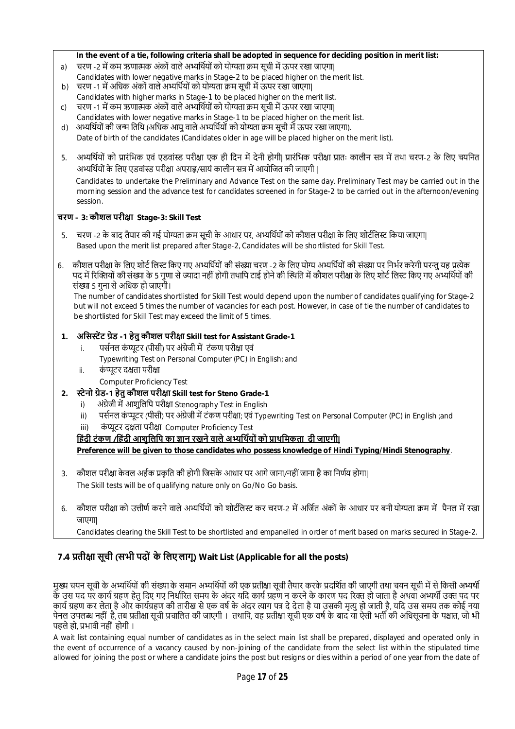#### **In the event of a tie, following criteria shall be adopted in sequence for deciding position in merit list:**

- a) चरण -2 में कम ऋणात्मक अंकों वाले अभ्यर्थियों को योग्यता क्रम सूची में ऊपर रखा जाएगा|
- Candidates with lower negative marks in Stage-2 to be placed higher on the merit list.
- b) चरण -1 में अधिक अंकों वाले अभ्यर्थियों को योग्यता क्रम सूची में ऊपर रखा जाएगा| Candidates with higher marks in Stage-1 to be placed higher on the merit list.
- c) चरण -1 में कम ऋणात्मक अंकों वाले अभ्यर्थियों को योग्यता क्रम सूची में ऊपर रखा जाएगा| Candidates with lower negative marks in Stage-1 to be placed higher on the merit list.
- d) अभ्यर्थियों की जन्म तिथि (अधिक आयु वाले अभ्यर्थियों को योग्यता क्रम सूची में ऊपर रखा जाएगा). Date of birth of the candidates (Candidates older in age will be placed higher on the merit list).
- 5. अभ्यर्थियों को प्रारंभिक एवं एडवांस्ड परीक्षा एक ही दिन में देनी होगी| प्रारंभिक परीक्षा प्रातः कालीन सत्र में तथा चरण-2 के लिए चयनित अभ्यर्थियों के लिए एडवांस्ड परीक्षा अपराह्न/सायं कालीन सत्र में आयोजित की जाएगी |

 Candidates to undertake the Preliminary and Advance Test on the same day. Preliminary Test may be carried out in the morning session and the advance test for candidates screened in for Stage-2 to be carried out in the afternoon/evening session.

## **चरण – 3: कौशल परीƗा Stage-3: Skill Test**

- . चरण -2 के बाद तैयार की गई योग्यता क्रम सूची के आधार पर, अभ्यर्थियों को कौशल परीक्षा के लिए शोर्टलिस्ट किया जाएगा Based upon the merit list prepared after Stage-2, Candidates will be shortlisted for Skill Test.
- 6. कौशल परीक्षा के लिए शोर्ट लिस्ट किए गए अभ्यर्थियों की संख्या चरण -2 के लिए योग्य अभ्यर्थियों की संख्या पर निर्भर करेगी परन्त यह प्रत्येक पद में रिक्तियों की संख्या के 5 गुणा से ज्यादा नहीं होगी तथापि टाई होने की स्थिति में कौशल परीक्षा के लिए शोर्ट लिस्ट किए गए अभ्यर्थियों की संƥा 5 गुना से अिधक हो जाएगी।

 The number of candidates shortlisted for Skill Test would depend upon the number of candidates qualifying for Stage-2 but will not exceed 5 times the number of vacancies for each post. However, in case of tie the number of candidates to be shortlisted for Skill Test may exceed the limit of 5 times.

## **1. अिसːŐट Ťेड -1 हेतुकौशल परीƗा Skill test for Assistant Grade-1**

- i. पर्सनल कंप्यूटर (पीसी) पर अंग्रेजी में टंकण परीक्षा एवं
	- Typewriting Test on Personal Computer (PC) in English; and
- ii. कंप्यूटर दक्षता परीक्षा
	- Computer Proficiency Test
- **2. ːेनो Ťेड-1 हेतु कौशल परीƗा Skill test for Steno Grade-1**
	- i) अंग्रेजी में आशुलिपि परीक्षा Stenography Test in English
	- ii) पर्सनल कंप्यूटर (पीसी) पर अंग्रेजी में टंकण परीक्षा; एवं Typewriting Test on Personal Computer (PC) in English ;and
	- iii) कंप्यूटर दक्षता परीक्षा Computer Proficiency Test

## **हिंदी टंकण /हिंदी आशुलिपि का ज्ञान रखने वाले अभ्यर्थियों को प्राथमिकता दी जाएगी|**

**Preference will be given to those candidates who possess knowledge of Hindi Typing/Hindi Stenography**.

- 3. कौशल परीक्षा केवल अर्हक प्रकृति की होगी जिसके आधार पर आगे जाना/नहीं जाना है का निर्णय होगा| The Skill tests will be of qualifying nature only on Go/No Go basis.
- 6. कौशल परीक्षा को उत्तीर्ण करने वाले अभ्यर्थियों को शोटीलिस्ट कर चरण-2 में अर्जित अंकों के आधार पर बनी योग्यता कम में पैनल में रखा जाएगा|

Candidates clearing the Skill Test to be shortlisted and empanelled in order of merit based on marks secured in Stage-2.

## **7.4 ŮतीƗा सूची (सभी पदों के िलए लागू) Wait List (Applicable for all the posts)**

मुख्य चयन सूची के अभ्यर्थियों की संख्या के समान अभ्यर्थियों की एक प्रतीक्षा सूची तैयार करके प्रदर्शित की जाएगी तथा चयन सूची में से किसी अभ्यर्थी के उस पद पर कार्य ग्रहण हेतु दिए गए निर्धारित समय के अंदर यदि कार्य ग्रहण न करने के कारण पद रिक्त हो जाता है अथवा अभ्यर्थी उक्त पद पर कार्य ग्रहण कर लेता है और कार्यग्रहण की तारीख से एक वर्ष के अंदर त्याग पत्र दे देता है या उसकी मृत्यू हो जाती है, यदि उस समय तक कोई नया पेनल उपलब्ध नहीं है, तब प्रतीक्षा सूची प्रचालित की जाएगी । तथापि, वह प्रतीक्षा सूची एक वर्ष के बाद या ऐसी भर्ती की अधिसूचना के पश्चात, जो भी पहले हो, प्रभावी नहीं होगी ।

A wait list containing equal number of candidates as in the select main list shall be prepared, displayed and operated only in the event of occurrence of a vacancy caused by non-joining of the candidate from the select list within the stipulated time allowed for joining the post or where a candidate joins the post but resigns or dies within a period of one year from the date of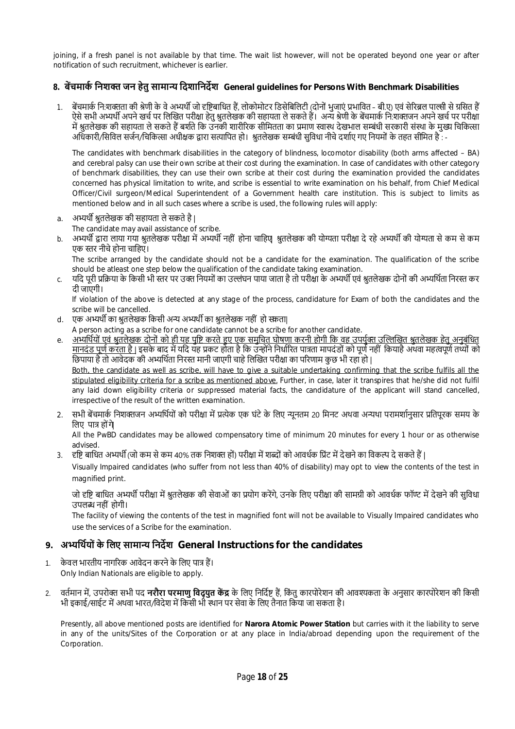joining, if a fresh panel is not available by that time. The wait list however, will not be operated beyond one year or after notification of such recruitment, whichever is earlier.

## **8. बŐचमाकŊ िनशƅ जन हेतु सामाɊ िदशािनदőश General guidelines for Persons With Benchmark Disabilities**

बेंचमार्क नि:शक्तता की श्रेणी के वे अभ्यर्थी जो दृष्टिबाधित हैं, लोकोमोटर डिसेबिलिटी (दोनों भुजाएं प्रभावित – बी.ए) एवं सेरिब्रल पाल्सी से ग्रसित हैं ऐसे सभी अभ्यर्थी अपने खर्च पर लिखित परीक्षा हेतु श्रतलेखक की सहायता ले सकते हैं। अन्य श्रेणी के बेंचमार्क नि:शक्तजन अपने खर्च पर परीक्षा में श्रुतलेखक की सहायता ले सकते हैं बर्शते कि उनकी शारीरिक सीमितता का प्रमाण स्वास्थ देखभाल सम्बंधी सरकारी संस्था के मुख्य चिकित्सा अधिकारी/सिविल सर्जन/चिकित्सा अधीक्षक द्वारा सत्यापित हो। श्रुतलेखक सम्बंधी सुविधा नीचे दर्शाए गए नियमों के तहत सीमित है : -

The candidates with benchmark disabilities in the category of blindness, locomotor disability (both arms affected – BA) and cerebral palsy can use their own scribe at their cost during the examination. In case of candidates with other category of benchmark disabilities, they can use their own scribe at their cost during the examination provided the candidates concerned has physical limitation to write, and scribe is essential to write examination on his behalf, from Chief Medical Officer/Civil surgeon/Medical Superintendent of a Government health care institution. This is subject to limits as mentioned below and in all such cases where a scribe is used, the following rules will apply:

a. अभ्यर्थी श्रुतलेखक की सहायता ले सकते है |

The candidate may avail assistance of scribe.

b. अभ्यर्थी द्वारा लाया गया श्रतलेखक परीक्षा में अभ्यर्थी नहीं होना चाहिए श्रतलेखक की योग्यता परीक्षा दे रहे अभ्यर्थी की योग्यता से कम से कम एक स्तर नीचे होना चाहिए।

The scribe arranged by the candidate should not be a candidate for the examination. The qualification of the scribe should be atleast one step below the qualification of the candidate taking examination.

c. यदि पूरी प्रक्रिया के किसी भी स्तर पर उक्त नियमों का उल्लंघन पाया जाता है तो परीक्षा के अभ्यर्थी एवं श्रुतलेखक दोनों की अभ्यर्थिता निरस्त कर दी जाएगी।

If violation of the above is detected at any stage of the process, candidature for Exam of both the candidates and the scribe will be cancelled.

- d. एक अभ्यर्थी का श्रुतलेखक किसी अन्य अभ्यर्थी का श्रुतलेखक नहीं हो सकता|
- A person acting as a scribe for one candidate cannot be a scribe for another candidate.
- e. अभ्यर्थियों एवं श्रुतलेखक दोनों को ही यह पृष्टि करते हुए एक समुचित घोषणा करनी होगी कि वह उपर्युक्त उल्लिखित श्रुतलेखक हेतु अनुबंधित मानदंड पूणŊ करता है | इसके बाद मŐ यिद यह Ůकट होता है िक उɎोंनेिनधाŊįरत पाũता मापदंडों को पूणŊ नहीं िकया हैअथवा महȕपूणŊ तȚों को छिपाया है तो आवेदक की अभ्यर्थिता निरस्त मानी जाएगी चाहे लिखित परीक्षा का परिणाम कुछ भी रहा हो | Both, the candidate as well as scribe, will have to give a suitable undertaking confirming that the scribe fulfils all the stipulated eligibility criteria for a scribe as mentioned above. Further, in case, later it transpires that he/she did not fulfil any laid down eligibility criteria or suppressed material facts, the candidature of the applicant will stand cancelled,
- irrespective of the result of the written examination. 2. सभी बेंचमार्क निशक्तजन अभ्यर्थियों को परीक्षा में प्रत्येक एक घंटे के लिए न्यनतम 20 मिनट अथवा अन्यथा परामर्शानसार प्रतिपरक समय के लिए पात्र होंगे

All the PwBD candidates may be allowed compensatory time of minimum 20 minutes for every 1 hour or as otherwise advised.

3. दृष्टि बाधित अभ्यर्थी (जो कम से कम 40% तक निशक्त हों) परीक्षा में शब्दों को आवर्धक प्रिंट में देखने का विकल्प दे सकते हैं |

Visually Impaired candidates (who suffer from not less than 40% of disability) may opt to view the contents of the test in magnified print.

जो दृष्टि बाधित अभ्यर्थी परीक्षा में श्रुतलेखक की सेवाओं का प्रयोग करेंगे, उनके लिए परीक्षा की सामग्री को आवर्धक फॉण्ट में देखने की सुविधा उपलɩ नहीं होगी।

The facility of viewing the contents of the test in magnified font will not be available to Visually Impaired candidates who use the services of a Scribe for the examination.

## **9. अɷिथŊयों के िलए सामाɊ िनदőश General Instructions for the candidates**

- 1. केवल भारतीय नागरिक आवेदन करने के लिए पात्र हैं। Only Indian Nationals are eligible to apply.
- 2. वर्तमान में, उपरोक्त सभी पद **नरौरा परमाण विदयत केंद्र** के लिए निर्दिष्ट हैं, कित कारपोरेशन की आवश्यकता के अनुसार कारपोरेशन की किसी भी इकाई/साईट में अथवा भारत/विदेश में किसी भी स्थान पर सेवा के लिए तैनात किया जा सकता है।

Presently, all above mentioned posts are identified for **Narora Atomic Power Station** but carries with it the liability to serve in any of the units/Sites of the Corporation or at any place in India/abroad depending upon the requirement of the Corporation.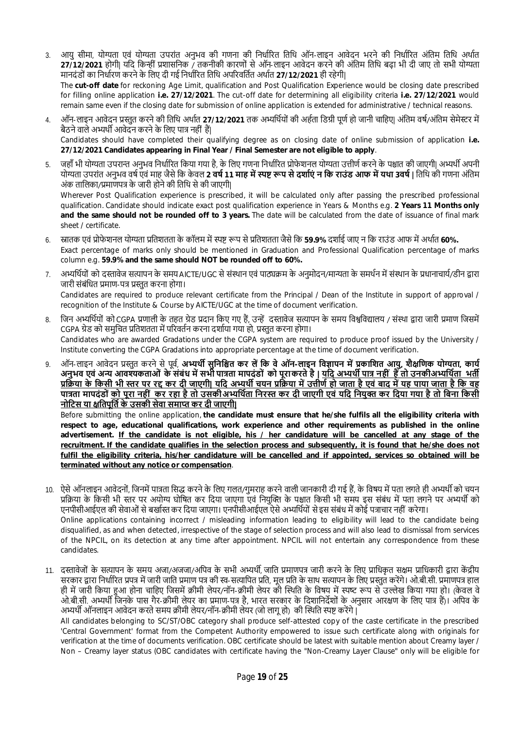- 3. आयु सीमा, योग्यता एवं योग्यता उपरांत अनभव की गणना की निर्धारित तिथि ऑन-लाइन आवेदन भरने की निर्धारित अंतिम तिथि अर्थात <mark>27/12/2021</mark> होगी| यदि किन्हीं प्रशासनिक / तकनीकी कारणों से ऑन-लाइन आवेदन करने की अंतिम तिथि बढ़ा भी दी जाए तो सभी योग्यता मानदंडों का निर्धारण करने के लिए दी गई निर्धारित तिथि अपरिवर्तित अर्थात 27/12/2021 ही रहेगी| The **cut-off date** for reckoning Age Limit, qualification and Post Qualification Experience would be closing date prescribed for filling online application **i.e. 27/12/2021**. The cut-off date for determining all eligibility criteria **i.e. 27/12/2021** would remain same even if the closing date for submission of online application is extended for administrative / technical reasons.
- 4. ऑन-लाइन आवेदन प्रस्तत करने की तिथि अर्थात 27/12/2021 तक अभ्यर्थियों की अर्हता डिग्री पर्ण हो जानी चाहिए| अंतिम वर्ष/अंतिम सेमेस्टर में बैठने वाले अभ्यर्थी आवेदन करने के लिए पात्र नहीं हैं। Candidates should have completed their qualifying degree as on closing date of online submission of application **i.e. 27/12/2021 Candidates appearing in Final Year / Final Semester are not eligible to apply**.
- 5. जहाँ भी योग्यता उपरान्त अनुभव निर्धारित किया गया है, के लिए गणना निर्धारित प्रोफेशनल योग्यता उत्तीर्ण करने के पश्चात की जाएगी| अभ्यर्थी अपनी योग्यता उपरांत अनुभव वर्ष एवं माह जैसे कि केवल **2 वर्ष 11 माह में स्पष्ट रूप से दर्शाएं न कि राउंड आफ में यथा 3वर्ष | तिथि की गणना अंतिम** अंक तालिका/प्रमाणपत्र के जारी होने की तिथि से की जाएगी|

Wherever Post Qualification experience is prescribed, it will be calculated only after passing the prescribed professional qualification. Candidate should indicate exact post qualification experience in Years & Months e.g. **2 Years 11 Months only and the same should not be rounded off to 3 years.** The date will be calculated from the date of issuance of final mark sheet / certificate.

- उसातक एवं प्रोफेशनल योग्यता प्रतिशतता के कॉलम में स्पष्ट रूप से प्रतिशतता जैसे कि **59.9%** दर्शाई जाए न कि राउंड आफ में अर्थात 60%. Exact percentage of marks only should be mentioned in Graduation and Professional Qualification percentage of marks column e.g. **59.9% and the same should NOT be rounded off to 60%.**
- 7. अभ्यर्थियों को दस्तावेज सत्यापन के समय AICTE/UGC से संस्थान एवं पाठ्यक्रम के अनुमोदन/मान्यता के समर्थन में संस्थान के प्रधानाचार्य/डीन द्वारा जारी संबंधित प्रमाण-पत्र प्रस्तत करना होगा। Candidates are required to produce relevant certificate from the Principal / Dean of the Institute in support of approval / recognition of the Institute & Course by AICTE/UGC at the time of document verification.
- 8. जिन अभ्यर्थियों को CGPA प्रणाली के तहत ग्रेड प्रदान किए गए हैं, उन्हें दस्तावेज सत्यापन के समय विश्वविद्यालय / संस्था द्वारा जारी प्रमाण जिसमें CGPA ग्रेड को समुचित प्रतिशतता में परिवर्तन करना दर्शाया गया हो, प्रस्तुत करना होगा। Candidates who are awarded Gradations under the CGPA system are required to produce proof issued by the University / Institute converting the CGPA Gradations into appropriate percentage at the time of document verification.
- 9. ऑन-लाइन आवेदन प्रस्तुत करने से पूर्व, **अभ्यर्थी सुनिश्चित कर लें कि वे ऑन-लाइन विज्ञापन में प्रकाशित आयु, शैक्षणिक योग्यता, कार्य** अनुभव एवं अन्य आवश्यकताओं के संबंध में सभी पात्रता मापदंडों को पूराकरते है | <u>यदि अभ्यर्थी पात्र नहीं 'है तो उनकीअभ्यथिता' भर्ती</u> <u>प्रक्रिया के किसी भी स्तर पर रद्द कर दी जाएगी| यदि अभ्यर्थी चयन प्रक्रिया में उत्तीर्ण हो जाता है एवं बाद में यह पाया जाता है कि वह</u> <u>पात्रता मापदंडों को पूरा नहीं कर रहा है तो उसकी अभ्यर्थिता निरस्त कर दी जाएगी एवं यदि नियुक्त कर दिया गया है तो बिना किसी</u> **नोिटस या ƗितपूितŊ के उसकी सेवा समाɑ कर दी जाएगी|**

Before submitting the online application, **the candidate must ensure that he/she fulfils all the eligibility criteria with respect to age, educational qualifications, work experience and other requirements as published in the online advertisement. If the candidate is not eligible, his / her candidature will be cancelled at any stage of the recruitment. If the candidate qualifies in the selection process and subsequently, it is found that he/she does not fulfil the eligibility criteria, his/her candidature will be cancelled and if appointed, services so obtained will be terminated without any notice or compensation**.

- 10. ऐसे ऑनलाइन आवेदनों, जिनमें पात्रता सिद्ध करने के लिए गलत/गुमराह करने वाली जानकारी दी गई हैं, के विषय में पता लगते ही अभ्यर्थी को चयन प्रक्रिया के किसी भी स्तर पर अयोग्य घोषित कर दिया जाएगा एवं नियुक्ति के पश्चात किसी भी समय इस संबंध में पता लगने पर अभ्यर्थी को एनपीसीआईएल की सेवाओं से बर्खास्त कर दिया जाएगा। एनपीसीआईएल ऐसे अभ्यर्थियों से इस संबंध में कोई पत्राचार नहीं करेगा। Online applications containing incorrect / misleading information leading to eligibility will lead to the candidate being disqualified, as and when detected, irrespective of the stage of selection process and will also lead to dismissal from services of the NPCIL, on its detection at any time after appointment. NPCIL will not entertain any correspondence from these candidates.
- 11. दस्तावेजों के सत्यापन के समय अजा/अजजा/अपिव के सभी अभ्यर्थी, जाति प्रमाणपत्र जारी करने के लिए प्राधिकृत सक्षम प्राधिकारी द्वारा केंद्रीय सरकार द्वारा निर्धारित प्रपत्र में जारी जाति प्रमाण पत्र की स्व-सत्यापित प्रति, मूल प्रति के साथ सत्यापन के लिए प्रस्तुत करेंगे। ओ.बी.सी. प्रमाणपत्र हाल ही में जारी किया हुआ होना चाहिए जिसमें क्रीमी लेयर/नॉन-क्रीमी लेयर की स्थिति के विषय में स्पष्ट रूप से उल्लेख किया गया हो। (केवल वे ओ.बी.सी. अभ्यर्थी जिनके पास गैर-क्रीमी लेयर का प्रमाण-पत्र है, भारत सरकार के दिशानिर्देशों के अनुसार आरक्षण के लिए पात्र हैं)। अपिव के अभ्यर्थी ऑनलाइन आवेदन करते समय क्रीमी लेयर/नॉन-क्रीमी लेयर (जो लागू हो) की स्थिति स्पष्ट करेंगे |

All candidates belonging to SC/ST/OBC category shall produce self-attested copy of the caste certificate in the prescribed 'Central Government' format from the Competent Authority empowered to issue such certificate along with originals for verification at the time of documents verification. OBC certificate should be latest with suitable mention about Creamy layer / Non – Creamy layer status (OBC candidates with certificate having the "Non-Creamy Layer Clause" only will be eligible for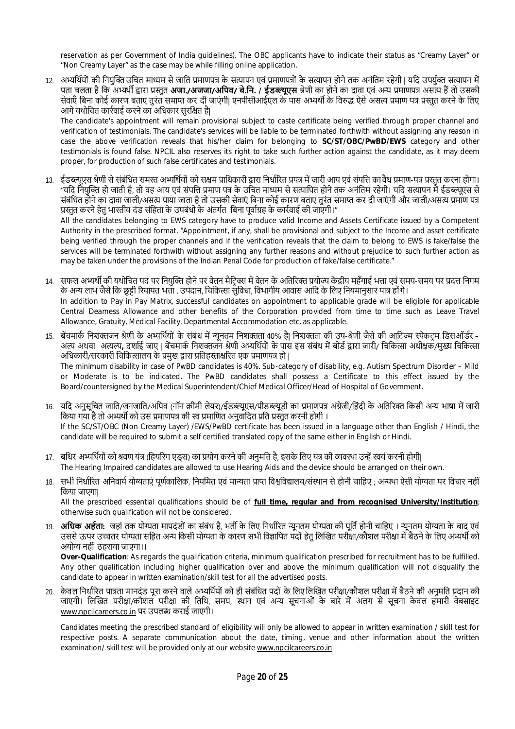reservation as per Government of India guidelines). The OBC applicants have to indicate their status as "Creamy Layer" or "Non Creamy Layer" as the case may be while filling online application.

12. अभ्यर्थियों की नियक्ति उचित माध्यम से जाति प्रमाणपत्र के सत्यापन थं प्रमाणपत्रों के सत्यापन होने तक अनंतिम रहेगी। यदि उपर्युक्त सत्यापन में पता चलता है कि अभ्यर्थी द्वारा प्रस्तुत **अजा./अजजा/अपिव/ बे.नि. / ईडब्ल्यूएस** श्रेणी का होने का दावा एवं अन्य प्रमाणपत्र असत्य हैं तो उसकी सेवाएँ बिना कोई कारण बताए तुरंत समाप्त कर दी जाएंगी। एनपीसीआईएल के पास अभ्यर्थी के विरुद्ध ऐसे असत्य प्रमाण पत्र प्रस्तत करने के लिए आगे यथोचित कार्रवाई करने का अधिकार सुरक्षित है।

The candidate's appointment will remain provisional subject to caste certificate being verified through proper channel and verification of testimonials. The candidate's services will be liable to be terminated forthwith without assigning any reason in case the above verification reveals that his/her claim for belonging to **SC/ST/OBC/PwBD/EWS** category and other testimonials is found false. NPCIL also reserves its right to take such further action against the candidate, as it may deem proper, for production of such false certificates and testimonials.

13. ईडब्ल्यएस श्रेणी से संबंधित समस्त अभ्यर्थियों को सक्षम प्राधिकारी द्वारा निर्धारित प्रपत्र में जारी आय एवं संपत्ति का वैध प्रमाण-पत्र प्रस्तत करना होगा। "यदि नियक्ति हो जाती है. तो वह आय एवं संपत्ति प्रमाण पत्र के उचित माध्यम से सत्यापित होने तक अनंतिम रहेगी। यदि सत्यापन में ईडब्ल्यएस से संबंधित होने का दावा जाली/असत्य पाया जाता है तो उसकी सेवाएं बिना कोई कारण बताए तुरंत समाप्त कर दी जाएंगी और जाली/असत्य प्रमाण पत्र प्रस्तुत करने हेतु भारतीय दंड संहिता के उपबंधों के अंतर्गत बिना पूर्वाग्रह के कार्रवाई की जाएगी।" All the candidates belonging to EWS category have to produce valid Income and Assets Certificate issued by a Competent Authority in the prescribed format. "Appointment, if any, shall be provisional and subject to the Income and asset certificate

being verified through the proper channels and if the verification reveals that the claim to belong to EWS is fake/false the services will be terminated forthwith without assigning any further reasons and without prejudice to such further action as may be taken under the provisions of the Indian Penal Code for production of fake/false certificate."

- 14. सफल अभ्यर्थी की यथोचित पद पर नियुक्ति होने पर वेतन मैटिक्स में वेतन के अतिरिक्त प्रयोज्य केंद्रीय महँगाई भत्ता एवं समय-समय पर प्रदत्त निगम के अन्य लाभ जैसे कि छुट्टी रियायत भत्ता , उपदान, चिकित्सा सुविधा, विभागीय आवास आदि के लिए नियमानुसार पात्र होंगे। In addition to Pay in Pay Matrix, successful candidates on appointment to applicable grade will be eligible for applicable Central Dearness Allowance and other benefits of the Corporation provided from time to time such as Leave Travel Allowance, Gratuity, Medical Facility, Departmental Accommodation etc. as applicable.
- 15. बेंचमार्क निशक्तजन श्रेणी के अभ्यर्थियों के संबंध में न्यूनतम निशक्तता 40% है| निशक्तता की उप-श्रेणी जैसे की आटिज्म स्पेकटम डिसऑर्डर अल्प अथवा अत्यल्प, दर्शाई जाए | बेंचमार्क निशक्तजन श्रेणी अभ्यर्थियों के पास इस संबंध में बोर्ड द्वारा जारी/ चिकित्सा अधीक्षक/मुख्य चिकित्सा अधिकारी/सरकारी चिकित्सालय के प्रमुख द्वारा प्रतिहस्ताक्षरित एक प्रमाणपत्र हो | The minimum disability in case of PwBD candidates is 40%. Sub-category of disability, e.g. Autism Spectrum Disorder – Mild

or Moderate is to be indicated. The PwBD candidates shall possess a Certificate to this effect issued by the Board/countersigned by the Medical Superintendent/Chief Medical Officer/Head of Hospital of Government.

- 16. यदि अनुसूचित जाति/जनजाति/अपिव (नॉन क्रीमी लेयर)/ईडब्ल्यूएस/पीडब्ल्यूडी का प्रमाणपत्र अंग्रेजी/हिंदी के अतिरिक्त किसी अन्य भाषा में जारी किया गया है तो अभ्यर्थी को उस प्रमाणपत्र की स्व प्रमाणित अनुवादित प्रति प्रस्तुत करनी होगी । If the SC/ST/OBC (Non Creamy Layer) /EWS/PwBD certificate has been issued in a language other than English / Hindi, the candidate will be required to submit a self certified translated copy of the same either in English or Hindi.
- 17. बधिर अभ्यर्थियों को श्रवण यंत्र (हियरिंग एडस) का प्रयोग करने की अनुमति है, इसके लिए यंत्र की व्यवस्था उन्हें स्वयं करनी होगी| The Hearing Impaired candidates are allowed to use Hearing Aids and the device should be arranged on their own.
- 18. सभी निर्धारित अनिवार्य योग्यताएं पूर्णकालिक, नियमित एवं मान्यता प्राप्त विश्वविद्यालय/संस्थान से होनी चाहिए ; अन्यथा ऐसी योग्यता पर विचार नहीं िकया जाएगा|

All the prescribed essential qualifications should be of **full time, regular and from recognised University/Institution**; otherwise such qualification will not be considered.

19. **अधिक अर्हता:** जहां तक योग्यता मापदंडों का संबंध है, भर्ती के लिए निर्धारित न्यनतम योग्यता की पति होनी चाहिए । न्यनतम योग्यता के बाद एवं उससे ऊपर उच्चतर योग्यता सहित अन्य किसी योग्यता के कारण सभी विज्ञापित पदों हेतु लिखित परीक्षा/कौशल परीक्षा में बैठने के लिए अभ्यर्थी को अयोƶ नहीं ठहराया जाएगा।।

**Over-Qualification**: As regards the qualification criteria, minimum qualification prescribed for recruitment has to be fulfilled. Any other qualification including higher qualification over and above the minimum qualification will not disqualify the candidate to appear in written examination/skill test for all the advertised posts.

20. केवल निर्धारित पात्रता मानदंड पूरा करने वाले अभ्यर्थियों को ही संबंधित पदों के लिए लिखित परीक्षा/कौशल परीक्षा में बैठने की अनुमति प्रदान की जाएगी। लिखित परीक्षा/कौशल परीक्षा की तिथि, समय, स्थान एवं अन्य सूचनाओं के बारे में अलग से सूचना केवल हमारी वेबसाइट www.npcilcareers.co.in पर उपलɩ कराई जाएगी।

Candidates meeting the prescribed standard of eligibility will only be allowed to appear in written examination / skill test for respective posts. A separate communication about the date, timing, venue and other information about the written examination/ skill test will be provided only at our website www.npcilcareers.co.in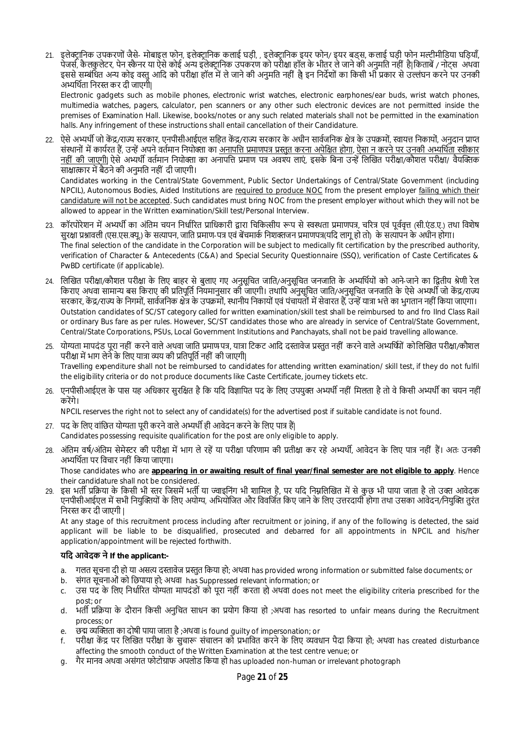21. इलेक्ट्रानिक उपकरणों जैसे- मोबाइल फोन, इलेक्ट्रानिक कलाई घड़ी, , इलेक्ट्रानिक इयर फोन/ इयर बड्स, कलाई घड़ी फोन मल्टीमीडिया घड़ियाँ, पेजर्स, कै लकुलेटर, पेन स्कैनर या ऐसे कोई अन्य इलेक्टानिक उपकरण को परीक्षा हॉल के भीतर ले जाने की अनुमति नहीं है।किताबें / नोटस अथवा इससे सम्बंधित अन्य कोइ वस्तु आदि को परीक्षा हॉल में ले जाने की अनुमति नहीं है| इन निर्देशों का किसी भी प्रकार से उल्लंघन करने पर उनकी अभ्यर्थिता निरस्त कर दी जाएगी।

Electronic gadgets such as mobile phones, electronic wrist watches, electronic earphones/ear buds, wrist watch phones, multimedia watches, pagers, calculator, pen scanners or any other such electronic devices are not permitted inside the premises of Examination Hall. Likewise, books/notes or any such related materials shall not be permitted in the examination halls. Any infringement of these instructions shall entail cancellation of their Candidature.

22. ऐसे अभ्यर्थी जो केंद्र/राज्य सरकार, एनपीसीआईएल सहित केंद्र/राज्य सरकार के अधीन सार्वजनिक क्षेत्र के उपक्रमों, स्वायत्त निकायों, अनुदान प्राप्त संस्थानों में कार्यरत हैं, उन्हें अपने वर्तमान नियोक्ता का अनापत्ति प्रमाणपत्र प्रस्तुत करना अपेक्षित होगा, ऐसा न करने पर उनकी अभ्यर्थिता स्वीकार नहीं की जाएगी। ऐसे अभ्यर्थी वर्तमान नियोक्ता का अनापत्ति प्रमाण पत्र अवश्य लाएं. इसके बिना उन्हें लिखित परीक्षा/कौशल परीक्षा/ वैयक्तिक साक्षात्कार में बैठने की अनुमति नहीं दी जाएगी।

Candidates working in the Central/State Government, Public Sector Undertakings of Central/State Government (including NPCIL), Autonomous Bodies, Aided Institutions are required to produce NOC from the present employer failing which their candidature will not be accepted. Such candidates must bring NOC from the present employer without which they will not be allowed to appear in the Written examination/Skill test/Personal Interview.

- 23. कॉरपोरेशन में अभ्यर्थी का अंतिम चयन निर्धारित प्राधिकारी द्वारा चिकित्सीय रूप से स्वस्थता प्रमाणपत्र, चरित्र एवं पर्ववत्त (सी.एंड.ए.) तथा विशेष सुरक्षा प्रश्नावली (एस.एस.क्यू.) के सत्यापन, जाति प्रमाण-पत्र एवं बेंचमार्क निशक्तजन प्रमाणपत्र(यदि लागू हो तो) के सत्यापन के अधीन होगा। The final selection of the candidate in the Corporation will be subject to medically fit certification by the prescribed authority, verification of Character & Antecedents (C&A) and Special Security Questionnaire (SSQ), verification of Caste Certificates & PwBD certificate (if applicable).
- 24. लिखित परीक्षा/कौशल परीक्षा के लिए बाहर से बुलाए गए अनुसूचित जाति/अनुसूचित जनजाति के अभ्यर्थियों को आने-जाने का द्वितीय श्रेणी रेल किराए अथवा सामान्य बस किराए की प्रतिपूर्ति नियमानुसार की जाएगी। तथापि अनुसूचित जाति/अनुसूचित जनजाति के ऐसे अभ्यर्थी जो केंद्र/राज्य सरकार, केंद्र/राज्य के निगमों, सार्वजनिक क्षेत्र के उपक्रमों, स्थानीय निकायों एवं पंचायतों में सेवारत हैं, उन्हें यात्रा भत्ते का भुगतान नहीं किया जाएगा। Outstation candidates of SC/ST category called for written examination/skill test shall be reimbursed to and fro IInd Class Rail or ordinary Bus fare as per rules. However, SC/ST candidates those who are already in service of Central/State Government, Central/State Corporations, PSUs, Local Government Institutions and Panchayats, shall not be paid travelling allowance.
- 25. योग्यता मापदंड पूरा नहीं करने वाले अथवा जाति प्रमाण-पत्र, यात्रा टिकट आदि दस्तावेज प्रस्तुत नहीं करने वाले अभ्यर्थियों को लिखित परीक्षा/कौशल परीक्षा में भाग लेने के लिए यात्रा व्यय की प्रतिपर्ति नहीं की जाएगी। Travelling expenditure shall not be reimbursed to candidates for attending written examination/ skill test, if they do not fulfil the eligibility criteria or do not produce documents like Caste Certificate, journey tickets etc.
- 26. एनपीसीआईएल के पास यह अधिकार सुरक्षित है कि यदि विज्ञापित पद के लिए उपयुक्त अभ्यर्थी नहीं मिलता है तो वे किसी अभ्यर्थी का चयन नहीं करेंगे।

NPCIL reserves the right not to select any of candidate(s) for the advertised post if suitable candidate is not found.

- 27. पद के लिए वांछित योग्यता परी करने वाले अभ्यर्थी ही आवेदन करने के लिए पात्र हैं। Candidates possessing requisite qualification for the post are only eligible to apply.
- 28. अंतिम वर्ष/अंतिम सेमेस्टर की परीक्षा में भाग ले रहें या परीक्षा परिणाम की प्रतीक्षा कर रहे अभ्यर्थी, आवेदन के लिए पात्र नहीं हैं। अतः उनकी अभ्यर्थिता पर विचार नहीं किया जाएगा।

Those candidates who are **appearing in or awaiting result of final year/final semester are not eligible to apply**. Hence their candidature shall not be considered.

29. इस भर्ती प्रक्रिया के किसी भी स्तर जिसमें भर्ती या ज्वाइनिंग भी शामिल है. पर यदि निम्नलिखित में से कछ भी पाया जाता है तो उक्त आवेदक एनपीसीआईएल में सभी नियुक्तियों के लिए अयोग्य, अभियोजित और विवर्जित किए जाने के लिए उत्तरदायी होगा तथा उसका आवेदन/नियुक्ति तुरंत निरस्त कर दी जाएगी |

At any stage of this recruitment process including after recruitment or joining, if any of the following is detected, the said applicant will be liable to be disqualified, prosecuted and debarred for all appointments in NPCIL and his/her application/appointment will be rejected forthwith.

## **यिद आवेदक ने If the applicant:-**

- a. गलत सूचना दी हो या असत्य दस्तावेज प्रस्तुत किया हो; अथवा has provided wrong information or submitted false documents; or
- b. संगत सूचनाओं को िछपाया हो; अथवा has Suppressed relevant information; or
- c. उस पद के लिए निर्धारित योग्यता मापदंडों को पूरा नहीं करता हो अथवा does not meet the eligibility criteria prescribed for the post; or
- d. भर्ती प्रक्रिया के दौरान किसी अनुचित साधन का प्रयोग किया हो ;अथवा has resorted to unfair means during the Recruitment process; or
- e. छद्म व्यक्तिता का दोषी पाया जाता है ;अथवा is found quilty of impersonation; or
- f. परीक्षा केंद्र पर लिखित परीक्षा के सुचारू संचालन को प्रभावित करने के लिए व्यवधान पैदा किया हो; अथवा has created disturbance affecting the smooth conduct of the Written Examination at the test centre venue; or
- a. गैर मानव अथवा असंगत फोटोग्राफ अपलोड किया हो has uploaded non-human or irrelevant photograph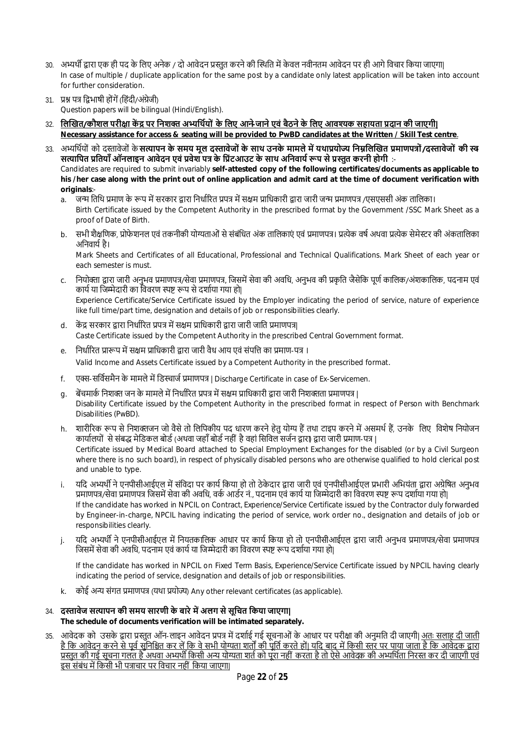- 30. अभ्यर्थी द्वारा एक ही पद के लिए अनेक / दो आवेदन प्रस्तत करने की स्थिति में केवल नवीनतम आवेदन पर ही आगे विचार किया जाएगा| In case of multiple / duplicate application for the same post by a candidate only latest application will be taken into account for further consideration.
- 31. प्रश्न पत्र द्विभाषी होंगें (हिंदी/अंग्रेजी) Question papers will be bilingual (Hindi/English).
- 32. लिखित/कौशल परीक्षा केंद्र पर निशक्त अभ्यर्थियों के लिए आने-जाने एवं बैठने के लिए आवश्यक सहायता प्रदान की जाएगी| **Necessary assistance for access & seating will be provided to PwBD candidates at the Written / Skill Test centre**.
- 33. अभ्यर्थियों को दस्तावेजों के **सत्यापन के समय मल दस्तावेजों के साथ उनके मामले में यथाप्रयोज्य निम्नलिखित प्रमाणपत्रों/दस्तावेजों की स्व** सत्यापित प्रतियाँ ऑनलाइन आवेदन एवं प्रवेश पत्र के प्रिंटआउट के साथ अनिवार्य रूप से प्रस्तत करनी होगी :-Candidates are required to submit invariably **self-attested copy of the following certificates/documents as applicable to his /her case along with the print out of online application and admit card at the time of document verification with originals**:
	- a. ) जन्म तिथि प्रमाण के रूप में सरकार द्वारा निर्धारित प्रपत्र में सक्षम प्राधिकारी द्वारा जारी जन्म प्रमाणपत्र /एसएससी अंक तालिका। Birth Certificate issued by the Competent Authority in the prescribed format by the Government /SSC Mark Sheet as a proof of Date of Birth.
	- b. सभी शैक्षणिक, प्रोफेशनल एवं तकनीकी योग्यताओं से संबंधित अंक तालिकाएं एवं प्रमाणपत्र। प्रत्येक वर्ष अथवा प्रत्येक सेमेस्टर की अंकतालिका अनिवार्य है।

Mark Sheets and Certificates of all Educational, Professional and Technical Qualifications. Mark Sheet of each year or each semester is must.

c. नियोक्ता द्वारा जारी अनुभव प्रमाणपत्र/सेवा प्रमाणपत्र, जिसमें सेवा की अवधि, अनुभव की प्रकति जैसेकि पर्ण कालिक/अंशकालिक, पदनाम एवं कार्य या जिम्मेदारी का विवरण स्पष्ट रूप से दर्शाया गया हो|

Experience Certificate/Service Certificate issued by the Employer indicating the period of service, nature of experience like full time/part time, designation and details of job or responsibilities clearly.

- d. केंद्र सरकार द्वारा निर्धारित प्रपत्र में सक्षम प्राधिकारी द्वारा जारी जाति प्रमाणपत्र| Caste Certificate issued by the Competent Authority in the prescribed Central Government format.
- e. निर्धारित प्रारूप में सक्षम प्राधिकारी द्वारा जारी वैध आय एवं संपत्ति का प्रमाण-पत्र । Valid Income and Assets Certificate issued by a Competent Authority in the prescribed format.
- f. एक्स-सर्विसमैन के मामले में डिस्चार्ज प्रमाणपत्र | Discharge Certificate in case of Ex-Servicemen.
- g. बेंचमार्क निशक्त जन के मामले में निर्धारित प्रपत्र में सक्षम प्राधिकारी द्वारा जारी निशक्तता प्रमाणपत्र | Disability Certificate issued by the Competent Authority in the prescribed format in respect of Person with Benchmark Disabilities (PwBD).
- h. शारीरिक रूप से निशक्तजन जो वैसे तो लिपिकीय पद धारण करने हेतु योग्य हैं तथा टाइप करने में असमर्थ हैं, उनके लिए विशेष नियोजन कार्यालयों से संबद्ध मेडिकल बोर्ड (अथवा जहाँ बोर्ड नहीं है वहां सिविल सर्जन द्वारा) द्वारा जारी प्रमाण-पत्र | Certificate issued by Medical Board attached to Special Employment Exchanges for the disabled (or by a Civil Surgeon where there is no such board), in respect of physically disabled persons who are otherwise qualified to hold clerical post and unable to type.
- i. यदि अभ्यर्थी ने एनपीसीआईएल में संविदा पर कार्य किया हो तो ठेकेदार द्वारा जारी एवं एनपीसीआईएल प्रभारी अभियंता द्वारा अग्रेषित अनुभव प्रमाणपत्र/सेवा प्रमाणपत्र जिसमें सेवा की अवधि, वर्क आर्डर नं., पदनाम एवं कार्य या जिम्मेदारी का विवरण स्पष्ट रूप दर्शाया गया हो| If the candidate has worked in NPCIL on Contract, Experience/Service Certificate issued by the Contractor duly forwarded by Engineer-in-charge, NPCIL having indicating the period of service, work order no., designation and details of job or responsibilities clearly.
- j. यदि अभ्यर्थी ने एनपीसीआईएल में नियतकालिक आधार पर कार्य किया हो तो एनपीसीआईएल द्वारा जारी अनुभव प्रमाणपत्र/सेवा प्रमाणपत्र जिसमें सेवा की अवधि, पदनाम एवं कार्य या जिम्मेदारी का विवरण स्पष्ट रूप दर्शाया गया हो।

If the candidate has worked in NPCIL on Fixed Term Basis, Experience/Service Certificate issued by NPCIL having clearly indicating the period of service, designation and details of job or responsibilities.

- k. कोई अन्य संगत प्रमाणपत्र (यथा प्रयोज्य) Any other relevant certificates (as applicable).
- 34. **दस्तावेज सत्यापन की समय सारणी के बारे में अलग से सूचित किया जाएगा| The schedule of documents verification will be intimated separately.**
- 35. आवेदक को उसके द्वारा प्रस्तुत ऑन-लाइन आवेदन प्रपत्र में दर्शाई गई सूचनाओं के आधार पर परीक्षा की अनुमति दी जाएगी| अतः सलाह दी जाती है कि आवेदन करने से पूर्व सुनिश्चित कर लें कि वे सभी योग्यता शर्तों की पूर्ति करते हों| यदि बाद में किसी स्तर पर पाया जाता है कि आवेदक द्वारा प्रस्तुत की गई सूचना गलत है अथवा अभ्यर्थी किसी अन्य योग्यता शर्त को पूरा नहीं करता है तो ऐसे आवेदक की अभ्यर्थिता निरस्त कर दी जाएगी एवं इस संबंध में किसी भी पत्राचार पर विचार नहीं किया जाएगा|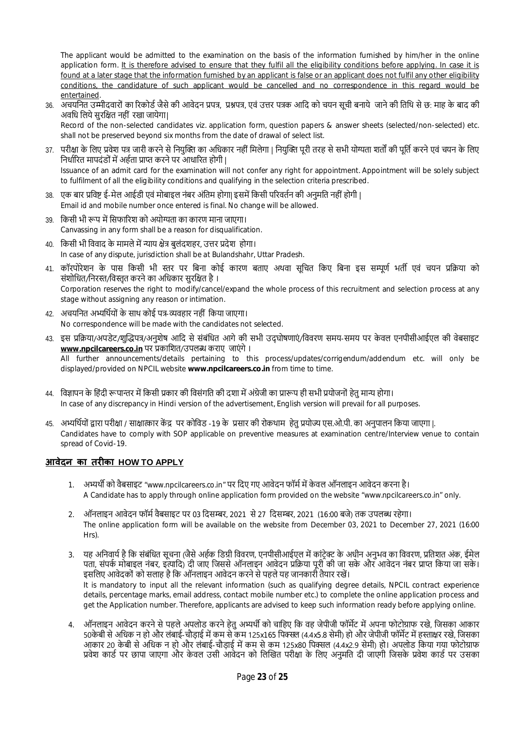The applicant would be admitted to the examination on the basis of the information furnished by him/her in the online application form. It is therefore advised to ensure that they fulfil all the eligibility conditions before applying. In case it is found at a later stage that the information furnished by an applicant is false or an applicant does not fulfil any other eligibility conditions, the candidature of such applicant would be cancelled and no correspondence in this regard would be entertained.

36. अचयनित उम्मीदवारों का रिकोर्ड जैसे की आवेदन प्रपत्र, प्रश्नपत्र, एवं उत्तर पत्रक आदि को चयन सूची बनाये जाने की तिथि से छ: माह के बाद की अवधि लिये सुरक्षित नहीं रखा जायेगा।

Record of the non-selected candidates viz. application form, question papers & answer sheets (selected/non-selected) etc. shall not be preserved beyond six months from the date of drawal of select list.

- 37. परीक्षा के लिए प्रवेश पत्र जारी करने से नियुक्ति का अधिकार नहीं मिलेगा | नियुक्ति पूरी तरह से सभी योग्यता शर्तों की पूर्ति करने एवं चयन के लिए निर्धारित मापदंडों में अर्हता प्राप्त करने पर आधारित होगी | Issuance of an admit card for the examination will not confer any right for appointment. Appointment will be solely subject to fulfilment of all the eligibility conditions and qualifying in the selection criteria prescribed.
- 38. एक बार प्रविष्ट ई-मेल आईडी एवं मोबाइल नंबर अंतिम होगा| इसमें किसी परिवर्तन की अनुमति नहीं होगी | Email id and mobile number once entered is final. No change will be allowed.
- 39. किसी भी रूप में सिफारिश को अयोग्यता का कारण माना जाएगा। Canvassing in any form shall be a reason for disqualification.
- 40. किसी भी विवाद के मामले में न्याय क्षेत्र बुलंदशहर, उत्तर प्रदेश होगा। In case of any dispute, jurisdiction shall be at Bulandshahr, Uttar Pradesh.
- 41. कॉरपोरेशन के पास किसी भी स्तर पर बिना कोई कारण बताए अथवा सचित किए बिना इस सम्पर्ण भर्ती एवं चयन प्रक्रिया को संशोधित/निरस्त/विस्तृत करने का अधिकार सुरक्षित है। Corporation reserves the right to modify/cancel/expand the whole process of this recruitment and selection process at any stage without assigning any reason or intimation.
- 42. अचयनित अभ्यर्थियों के साथ कोई पत्र-व्यवहार नहीं किया जाएगा। No correspondence will be made with the candidates not selected.
- 43. इस प्रक्रिया/अपडेट/शुद्धिपत्र/अनुशेष आदि से संबंधित आगे की सभी उद्घोषणाएं/विवरण समय-समय पर केवल एनपीसीआईएल की वेबसाइट www.npcilcareers.co.in पर प्रकाशित/उपलब्ध कराए जाएंगे । All further announcements/details pertaining to this process/updates/corrigendum/addendum etc. will only be displayed/provided on NPCIL website **www.npcilcareers.co.in** from time to time.
- 44. विज्ञापन के हिंदी रूपान्तर में किसी प्रकार की विसंगति की दशा में अंग्रेजी का प्रारूप ही सभी प्रयोजनों हेतु मान्य होगा। In case of any discrepancy in Hindi version of the advertisement, English version will prevail for all purposes.
- 45. अभ्यर्थियों द्वारा परीक्षा / साक्षात्कार केंद्र पर कोविड -19 के प्रसार की रोकथाम हेतु प्रयोज्य एस.ओ.पी. का अनुपालन किया जाएगा |. Candidates have to comply with SOP applicable on preventive measures at examination centre/Interview venue to contain spread of Covid-19.

## **आवेदन का तरȣका HOW TO APPLY**

- 1. अभ्यर्थी को वैबसाइट "www.npcilcareers.co.in" पर दिए गए आवेदन फॉर्म में केवल ऑनलाइन आवेदन करना है। A Candidate has to apply through online application form provided on the website "www.npcilcareers.co.in" only.
- 2. ऑनलाइन आवेदन फॉर्म वैबसाइट पर 03 दिसम्बर, 2021 से 27 दिसम्बर, 2021 (16:00 बजे) तक उपलब्ध रहेगा। The online application form will be available on the website from December 03, 2021 to December 27, 2021 (16:00 Hrs).
- 3. यह अनिवार्य है कि संबंधित सूचना (जैसे अर्हक डिग्री विवरण, एनपीसीआईएल में कांटेक्ट के अधीन अनुभव का विवरण, प्रतिशत अंक, ईमेल पता. संपर्क मोबाइल नंबर, इत्यादि) दी जाए जिससे ऑनलाइन आवेदन प्रक्रिया परी की जा सके और आवेदन नंबर प्राप्त किया जा सके। इसलिए आवेदकों को सलाह है कि ऑनलाइन आवेदन करने से पहले यह जानकारी तैयार रखें। It is mandatory to input all the relevant information (such as qualifying degree details, NPCIL contract experience details, percentage marks, email address, contact mobile number etc.) to complete the online application process and get the Application number. Therefore, applicants are advised to keep such information ready before applying online.
- 4. ऑनलाइन आवेदन करने से पहले अपलोड करने हेतु अभ्यर्थी को चाहिए कि वह जेपीजी फॉर्मेट में अपना फोटोग्राफ रखे. जिसका आकार 50केबी से अधिक न हो और लंबाई-चौड़ाई में कम से कम 125x165 पिक्सल (4.4x5.8 सेमी) हो और जेपीजी फॉर्मेट में हस्ताक्षर रखे, जिसका आकार 20 केबी से अधिक न हो और लंबाई-चौड़ाई में कम से कम 125x80 पिक्सल (4.4x2.9 सेमी) हो। अपलोड किया गया फोटोग्राफ प्रवेश कार्ड पर छापा जाएगा और केवल उसी आवेदन को लिखित परीक्षा के लिए अनुमति दी जाएगी जिसके प्रवेश कार्ड पर उसका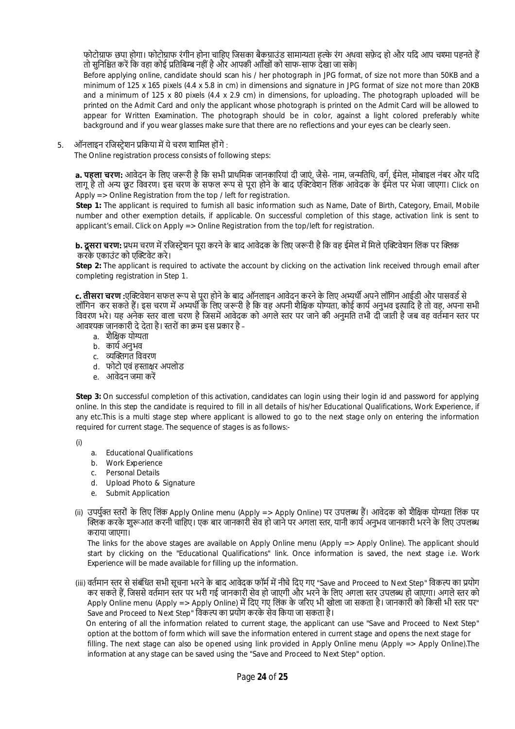फोटोग्राफ छपा होगा। फोटोग्राफ रंगीन होना चाहिए जिसका बैकग्राउंड सामान्यता हल्के रंग अथवा सफ़ेद हो और यदि आप चश्मा पहनते हैं तो सुनिश्चित करें कि वहा कोई प्रतिबिम्ब नहीं है और आपकी आाँखों को साफ-साफ देखा जा सके|

Before applying online, candidate should scan his / her photograph in JPG format, of size not more than 50KB and a minimum of 125 x 165 pixels (4.4 x 5.8 in cm) in dimensions and signature in JPG format of size not more than 20KB and a minimum of 125 x 80 pixels (4.4 x 2.9 cm) in dimensions, for uploading. The photograph uploaded will be printed on the Admit Card and only the applicant whose photograph is printed on the Admit Card will be allowed to appear for Written Examination. The photograph should be in color, against a light colored preferably white background and if you wear glasses make sure that there are no reflections and your eyes can be clearly seen.

5. ऑनलाइन रजिस्टेशन प्रकिया में ये चरण शामिल होंगे :

The Online registration process consists of following steps:

**a. पहला चरण:** आवेदन के लिए जरूरी है कि सभी प्राथमिक जानकारियां दी जाएं. जैसे- नाम, जन्मतिथि, वर्ग, ईमेल, मोबाइल नंबर और यदि लागू है तो अन्य छूट विवरण। इस चरण के सफल रूप से पूरा होने के बाद एक्टिवेशन लिंक आवेदक के ईमेल पर भेजा जाएगा। Click on Apply => Online Registration from the top / left for registration.

**Step 1:** The applicant is required to furnish all basic information such as Name, Date of Birth, Category, Email, Mobile number and other exemption details, if applicable. On successful completion of this stage, activation link is sent to applicant's email. Click on Apply => Online Registration from the top/left for registration.

**b. <b>दसरा चरण**: प्रथम चरण में रजिस्टेशन परा करने के बाद आवेदक के लिए जरूरी है कि वह ईमेल में मिले एक्टिवेशन लिंक पर क्लिक करके एकाउंट को एक्टिवेट करे।

Step 2: The applicant is required to activate the account by clicking on the activation link received through email after completing registration in Step 1.

**c. <b>तीसरा चरण :**एक्टिवेशन सफल रूप से पूरा होने के बाद ऑनलाइन आवेदन करने के लिए अभ्यर्थी अपने लॉगिन आईडी और पासवर्ड से लॉगिन कर सकते हैं। इस चरण में अभ्यर्थी के लिए जरूरी है कि वह अपनी शैक्षिक योग्यता, कोई कार्य अनुभव इत्यादि है तो वह, अपना सभी विवरण भरे। यह अनेक स्तर वाला चरण है जिसमें आवेदक को अगले स्तर पर जाने की अनुमति तभी दी जाती है जब वह वर्तमान स्तर पर आवश्यक जानकारी दे देता है। स्तरों का क्रम इस प्रकार है –

- a. शैक्षिक योग्यता
- b. कार्य अनुभव
- c. व्यक्तिगत विवरण
- d. फोटो एवं हस्ताक्षर अपलोड
- e. आवेदन जमा करें

**Step 3:** On successful completion of this activation, candidates can login using their login id and password for applying online. In this step the candidate is required to fill in all details of his/her Educational Qualifications, Work Experience, if any etc.This is a multi stage step where applicant is allowed to go to the next stage only on entering the information required for current stage. The sequence of stages is as follows:-

(i)

- a. Educational Qualifications
- b. Work Experience
- c. Personal Details
- d. Upload Photo & Signature
- e. Submit Application
- (ii) उपर्युक्त स्तरों के लिए लिंक Apply Online menu (Apply => Apply Online) पर उपलब्ध हैं। आवेदक को शैक्षिक योग्यता लिंक पर क्लिक करके शुरूआत करनी चाहिए। एक बार जानकारी सेव हो जाने पर अगला स्तर, यानी कार्य अनुभव जानकारी भरने के लिए उपलब्ध कराया जाएगा।

The links for the above stages are available on Apply Online menu (Apply => Apply Online). The applicant should start by clicking on the "Educational Qualifications" link. Once information is saved, the next stage i.e. Work Experience will be made available for filling up the information.

(iii) वर्तमान स्तर से संबंधित सभी सूचना भरने के बाद आवेदक फॉर्म में नीचे दिए गए "Save and Proceed to Next Step" विकल्प का प्रयोग कर सकते हैं. जिससे वर्तमान स्तर पर भरी गई जानकारी सेव हो जाएगी और भरने के लिए अगला स्तर उपलब्ध हो जाएगा। अगले स्तर को Apply Online menu (Apply => Apply Online) में दिए गए लिंक के जरिए भी खोला जा सकता है। जानकारी को किसी भी स्तर पर" Save and Proceed to Next Step" विकल्प का प्रयोग करके सेव किया जा सकता है।

 On entering of all the information related to current stage, the applicant can use "Save and Proceed to Next Step" option at the bottom of form which will save the information entered in current stage and opens the next stage for filling. The next stage can also be opened using link provided in Apply Online menu (Apply => Apply Online).The information at any stage can be saved using the "Save and Proceed to Next Step" option.